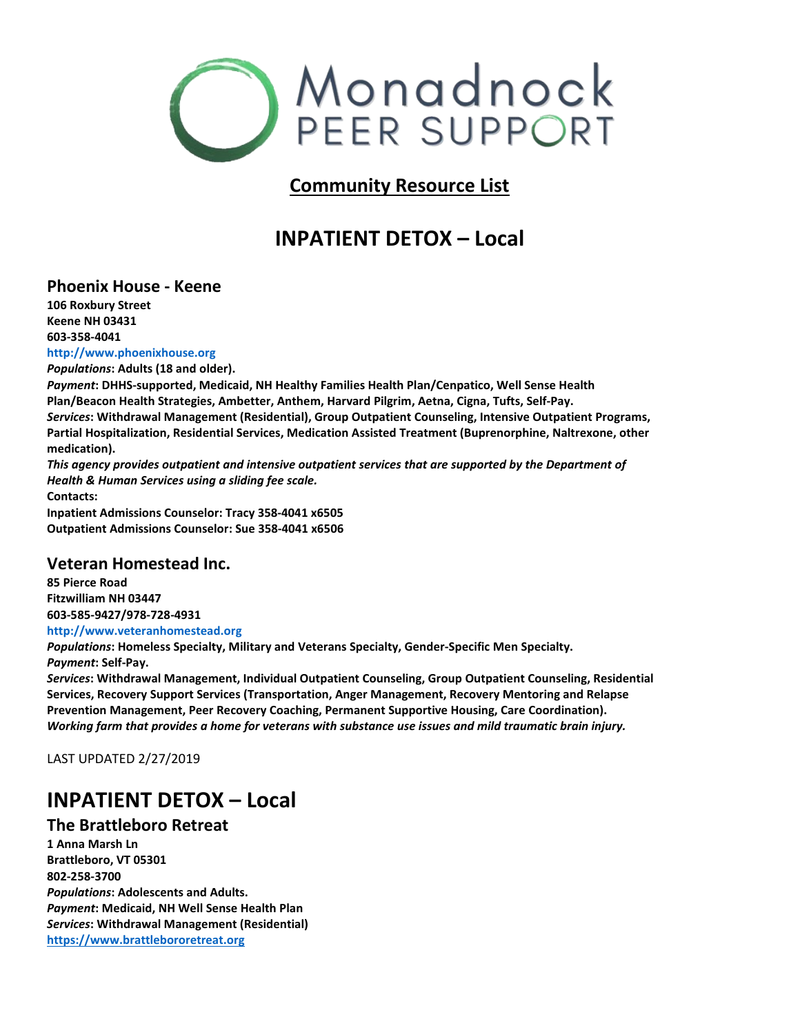

### **Community Resource List**

## **INPATIENT DETOX – Local**

#### **Phoenix House - Keene**

**106 Roxbury Street Keene NH 03431 603-358-4041**

**http://www.phoenixhouse.org**

*Populations***: Adults (18 and older).**

*Payment***: DHHS-supported, Medicaid, NH Healthy Families Health Plan/Cenpatico, Well Sense Health Plan/Beacon Health Strategies, Ambetter, Anthem, Harvard Pilgrim, Aetna, Cigna, Tufts, Self-Pay.** *Services***: Withdrawal Management (Residential), Group Outpatient Counseling, Intensive Outpatient Programs, Partial Hospitalization, Residential Services, Medication Assisted Treatment (Buprenorphine, Naltrexone, other medication).**

*This agency provides outpatient and intensive outpatient services that are supported by the Department of Health & Human Services using a sliding fee scale.* **Contacts:**

**Inpatient Admissions Counselor: Tracy 358-4041 x6505 Outpatient Admissions Counselor: Sue 358-4041 x6506**

#### **Veteran Homestead Inc.**

**85 Pierce Road Fitzwilliam NH 03447 603-585-9427/978-728-4931 http://www.veteranhomestead.org**

*Populations***: Homeless Specialty, Military and Veterans Specialty, Gender-Specific Men Specialty.** *Payment***: Self-Pay.**

*Services***: Withdrawal Management, Individual Outpatient Counseling, Group Outpatient Counseling, Residential Services, Recovery Support Services (Transportation, Anger Management, Recovery Mentoring and Relapse Prevention Management, Peer Recovery Coaching, Permanent Supportive Housing, Care Coordination).** *Working farm that provides a home for veterans with substance use issues and mild traumatic brain injury.*

LAST UPDATED 2/27/2019

### **INPATIENT DETOX – Local**

### **The Brattleboro Retreat**

**1 Anna Marsh Ln Brattleboro, VT 05301 802-258-3700** *Populations***: Adolescents and Adults.** *Payment***: Medicaid, NH Well Sense Health Plan** *Services***: Withdrawal Management (Residential) [https://www.brattlebororetreat.org](https://www.brattlebororetreat.org/)**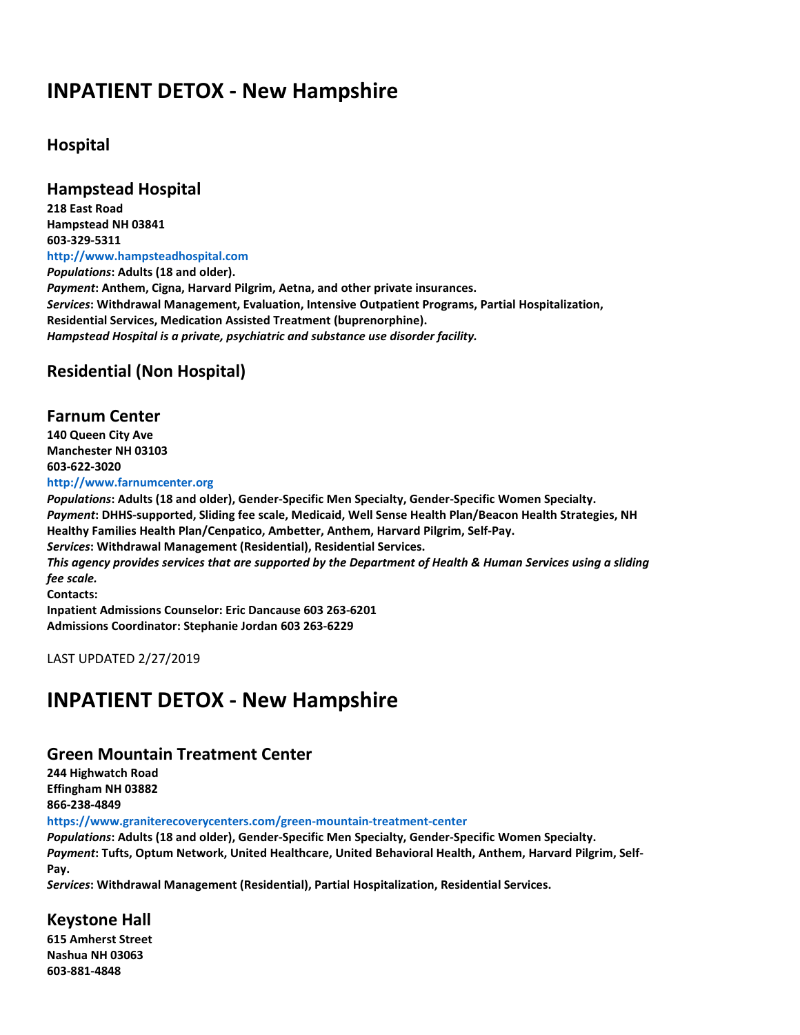### **INPATIENT DETOX - New Hampshire**

### **Hospital**

**Hampstead Hospital**

**218 East Road Hampstead NH 03841 603-329-5311 http://www.hampsteadhospital.com** *Populations***: Adults (18 and older).** *Payment***: Anthem, Cigna, Harvard Pilgrim, Aetna, and other private insurances.** *Services***: Withdrawal Management, Evaluation, Intensive Outpatient Programs, Partial Hospitalization, Residential Services, Medication Assisted Treatment (buprenorphine).** *Hampstead Hospital is a private, psychiatric and substance use disorder facility.*

### **Residential (Non Hospital)**

**Farnum Center 140 Queen City Ave Manchester NH 03103 603-622-3020 http://www.farnumcenter.org** *Populations***: Adults (18 and older), Gender-Specific Men Specialty, Gender-Specific Women Specialty.** *Payment***: DHHS-supported, Sliding fee scale, Medicaid, Well Sense Health Plan/Beacon Health Strategies, NH Healthy Families Health Plan/Cenpatico, Ambetter, Anthem, Harvard Pilgrim, Self-Pay.** *Services***: Withdrawal Management (Residential), Residential Services.** *This agency provides services that are supported by the Department of Health & Human Services using a sliding fee scale.* **Contacts: Inpatient Admissions Counselor: Eric Dancause 603 263-6201 Admissions Coordinator: Stephanie Jordan 603 263-6229**

LAST UPDATED 2/27/2019

### **INPATIENT DETOX - New Hampshire**

#### **Green Mountain Treatment Center**

**244 Highwatch Road Effingham NH 03882 866-238-4849**

**https://www.graniterecoverycenters.com/green-mountain-treatment-center**

*Populations***: Adults (18 and older), Gender-Specific Men Specialty, Gender-Specific Women Specialty.** *Payment***: Tufts, Optum Network, United Healthcare, United Behavioral Health, Anthem, Harvard Pilgrim, Self-Pay.**

*Services***: Withdrawal Management (Residential), Partial Hospitalization, Residential Services.**

### **Keystone Hall**

**615 Amherst Street Nashua NH 03063 603-881-4848**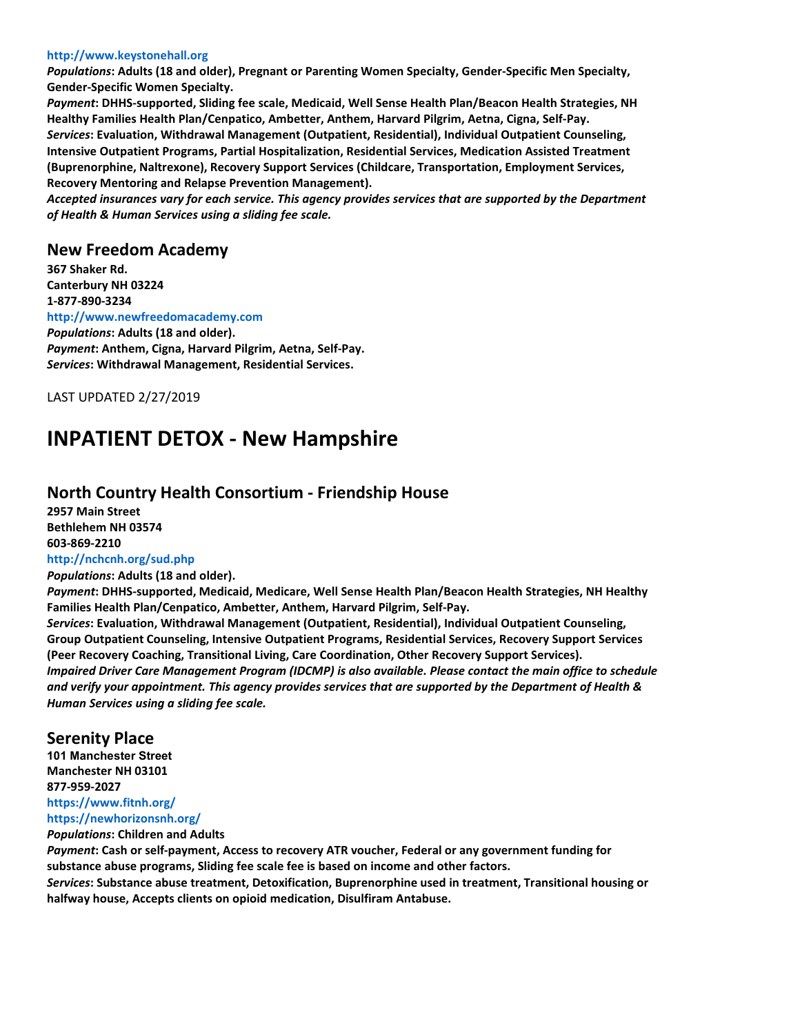#### **http://www.keystonehall.org**

*Populations***: Adults (18 and older), Pregnant or Parenting Women Specialty, Gender-Specific Men Specialty, Gender-Specific Women Specialty.**

*Payment***: DHHS-supported, Sliding fee scale, Medicaid, Well Sense Health Plan/Beacon Health Strategies, NH Healthy Families Health Plan/Cenpatico, Ambetter, Anthem, Harvard Pilgrim, Aetna, Cigna, Self-Pay.** *Services***: Evaluation, Withdrawal Management (Outpatient, Residential), Individual Outpatient Counseling, Intensive Outpatient Programs, Partial Hospitalization, Residential Services, Medication Assisted Treatment (Buprenorphine, Naltrexone), Recovery Support Services (Childcare, Transportation, Employment Services, Recovery Mentoring and Relapse Prevention Management).**

*Accepted insurances vary for each service. This agency provides services that are supported by the Department of Health & Human Services using a sliding fee scale.*

#### **New Freedom Academy**

**367 Shaker Rd. Canterbury NH 03224 1-877-890-3234 http://www.newfreedomacademy.com** *Populations***: Adults (18 and older).** *Payment***: Anthem, Cigna, Harvard Pilgrim, Aetna, Self-Pay.** *Services***: Withdrawal Management, Residential Services.**

LAST UPDATED 2/27/2019

### **INPATIENT DETOX - New Hampshire**

#### **North Country Health Consortium - Friendship House**

**2957 Main Street Bethlehem NH 03574 603-869-2210 http://nchcnh.org/sud.php**

*Populations***: Adults (18 and older).**

*Payment***: DHHS-supported, Medicaid, Medicare, Well Sense Health Plan/Beacon Health Strategies, NH Healthy Families Health Plan/Cenpatico, Ambetter, Anthem, Harvard Pilgrim, Self-Pay.**

*Services***: Evaluation, Withdrawal Management (Outpatient, Residential), Individual Outpatient Counseling, Group Outpatient Counseling, Intensive Outpatient Programs, Residential Services, Recovery Support Services (Peer Recovery Coaching, Transitional Living, Care Coordination, Other Recovery Support Services).** *Impaired Driver Care Management Program (IDCMP) is also available. Please contact the main office to schedule and verify your appointment. This agency provides services that are supported by the Department of Health & Human Services using a sliding fee scale.*

#### **Serenity Place**

**101 Manchester Street Manchester NH 03101 877-959-2027 https://www.fitnh.org/**

#### **https://newhorizonsnh.org/**

*Populations***: Children and Adults**

*Payment***: Cash or self-payment, Access to recovery ATR voucher, Federal or any government funding for substance abuse programs, Sliding fee scale fee is based on income and other factors.**

*Services***: Substance abuse treatment, Detoxification, Buprenorphine used in treatment, Transitional housing or halfway house, Accepts clients on opioid medication, Disulfiram Antabuse.**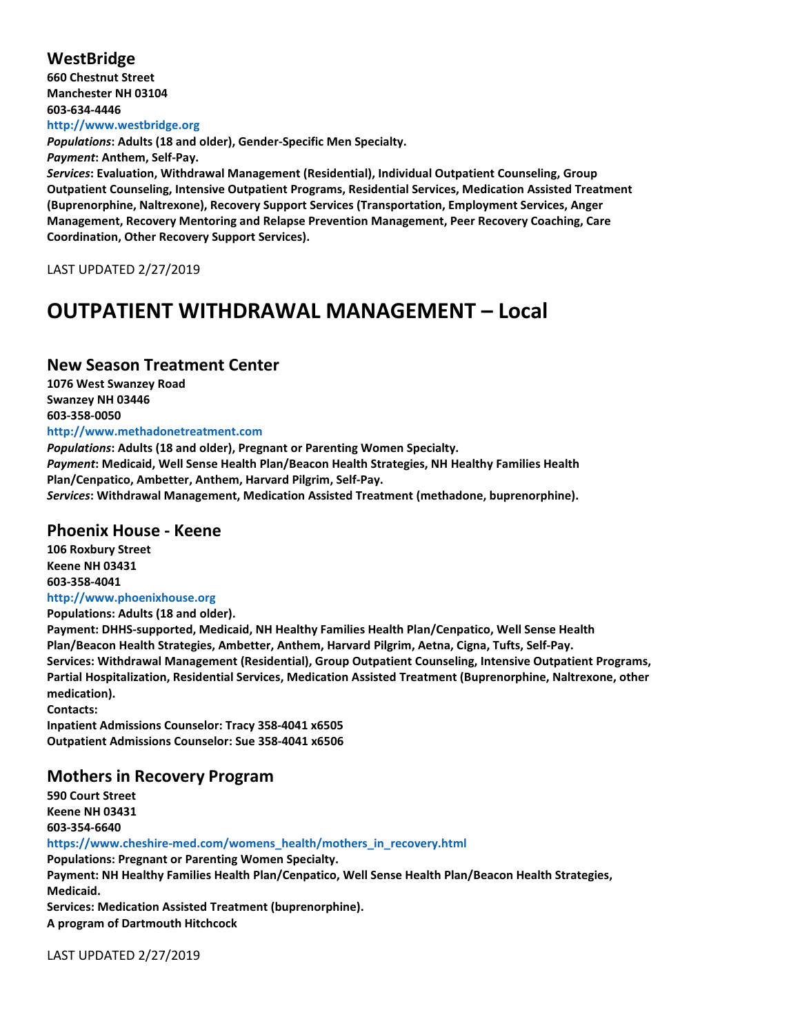#### **WestBridge**

**660 Chestnut Street Manchester NH 03104 603-634-4446 http://www.westbridge.org**

*Populations***: Adults (18 and older), Gender-Specific Men Specialty.**

*Payment***: Anthem, Self-Pay.**

*Services***: Evaluation, Withdrawal Management (Residential), Individual Outpatient Counseling, Group Outpatient Counseling, Intensive Outpatient Programs, Residential Services, Medication Assisted Treatment (Buprenorphine, Naltrexone), Recovery Support Services (Transportation, Employment Services, Anger Management, Recovery Mentoring and Relapse Prevention Management, Peer Recovery Coaching, Care Coordination, Other Recovery Support Services).**

LAST UPDATED 2/27/2019

### **OUTPATIENT WITHDRAWAL MANAGEMENT – Local**

#### **New Season Treatment Center**

**1076 West Swanzey Road Swanzey NH 03446 603-358-0050 http://www.methadonetreatment.com**

*Populations***: Adults (18 and older), Pregnant or Parenting Women Specialty.** *Payment***: Medicaid, Well Sense Health Plan/Beacon Health Strategies, NH Healthy Families Health Plan/Cenpatico, Ambetter, Anthem, Harvard Pilgrim, Self-Pay.** *Services***: Withdrawal Management, Medication Assisted Treatment (methadone, buprenorphine).**

#### **Phoenix House - Keene**

**106 Roxbury Street Keene NH 03431 603-358-4041 http://www.phoenixhouse.org Populations: Adults (18 and older). Payment: DHHS-supported, Medicaid, NH Healthy Families Health Plan/Cenpatico, Well Sense Health Plan/Beacon Health Strategies, Ambetter, Anthem, Harvard Pilgrim, Aetna, Cigna, Tufts, Self-Pay. Services: Withdrawal Management (Residential), Group Outpatient Counseling, Intensive Outpatient Programs, Partial Hospitalization, Residential Services, Medication Assisted Treatment (Buprenorphine, Naltrexone, other medication). Contacts:**

**Inpatient Admissions Counselor: Tracy 358-4041 x6505 Outpatient Admissions Counselor: Sue 358-4041 x6506**

#### **Mothers in Recovery Program**

**590 Court Street Keene NH 03431 603-354-6640 https://www.cheshire-med.com/womens\_health/mothers\_in\_recovery.html Populations: Pregnant or Parenting Women Specialty. Payment: NH Healthy Families Health Plan/Cenpatico, Well Sense Health Plan/Beacon Health Strategies, Medicaid. Services: Medication Assisted Treatment (buprenorphine). A program of Dartmouth Hitchcock**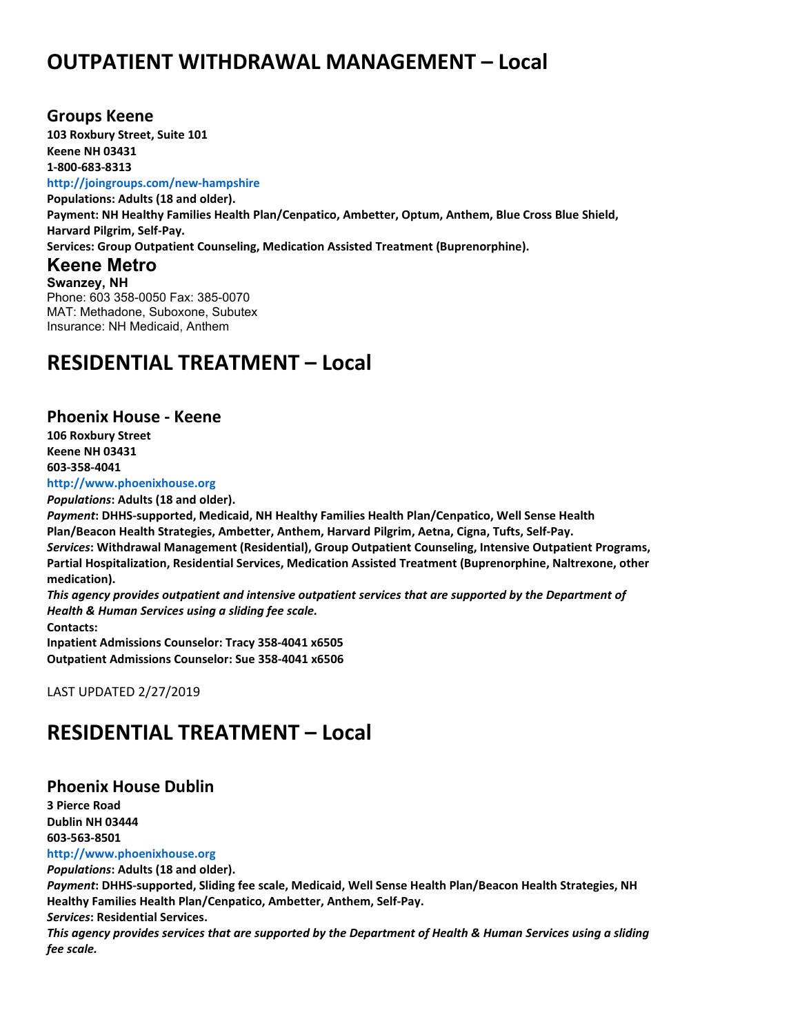## **OUTPATIENT WITHDRAWAL MANAGEMENT – Local**

#### **Groups Keene**

**103 Roxbury Street, Suite 101 Keene NH 03431 1-800-683-8313**

#### **http://joingroups.com/new-hampshire**

**Populations: Adults (18 and older). Payment: NH Healthy Families Health Plan/Cenpatico, Ambetter, Optum, Anthem, Blue Cross Blue Shield, Harvard Pilgrim, Self-Pay. Services: Group Outpatient Counseling, Medication Assisted Treatment (Buprenorphine).**

#### **Keene Metro**

**Swanzey, NH** Phone: 603 358-0050 Fax: 385-0070 MAT: Methadone, Suboxone, Subutex Insurance: NH Medicaid, Anthem

### **RESIDENTIAL TREATMENT – Local**

#### **Phoenix House - Keene**

**106 Roxbury Street Keene NH 03431 603-358-4041**

**http://www.phoenixhouse.org**

*Populations***: Adults (18 and older).**

*Payment***: DHHS-supported, Medicaid, NH Healthy Families Health Plan/Cenpatico, Well Sense Health Plan/Beacon Health Strategies, Ambetter, Anthem, Harvard Pilgrim, Aetna, Cigna, Tufts, Self-Pay.** *Services***: Withdrawal Management (Residential), Group Outpatient Counseling, Intensive Outpatient Programs, Partial Hospitalization, Residential Services, Medication Assisted Treatment (Buprenorphine, Naltrexone, other medication).**

*This agency provides outpatient and intensive outpatient services that are supported by the Department of Health & Human Services using a sliding fee scale.* **Contacts:**

**Inpatient Admissions Counselor: Tracy 358-4041 x6505 Outpatient Admissions Counselor: Sue 358-4041 x6506**

LAST UPDATED 2/27/2019

### **RESIDENTIAL TREATMENT – Local**

#### **Phoenix House Dublin**

**3 Pierce Road Dublin NH 03444 603-563-8501**

#### **http://www.phoenixhouse.org**

*Populations***: Adults (18 and older).**

*Payment***: DHHS-supported, Sliding fee scale, Medicaid, Well Sense Health Plan/Beacon Health Strategies, NH Healthy Families Health Plan/Cenpatico, Ambetter, Anthem, Self-Pay.**

*Services***: Residential Services.**

*This agency provides services that are supported by the Department of Health & Human Services using a sliding fee scale.*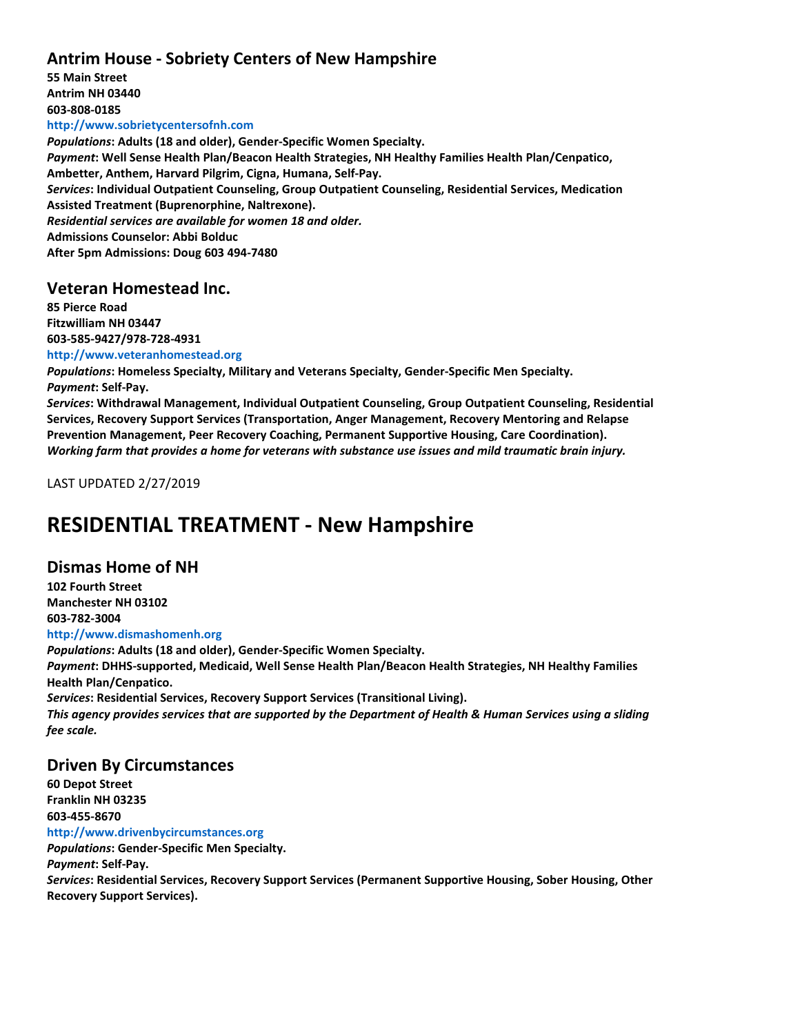### **Antrim House - Sobriety Centers of New Hampshire**

**55 Main Street Antrim NH 03440 603-808-0185 http://www.sobrietycentersofnh.com** *Populations***: Adults (18 and older), Gender-Specific Women Specialty.** *Payment***: Well Sense Health Plan/Beacon Health Strategies, NH Healthy Families Health Plan/Cenpatico, Ambetter, Anthem, Harvard Pilgrim, Cigna, Humana, Self-Pay.** *Services***: Individual Outpatient Counseling, Group Outpatient Counseling, Residential Services, Medication Assisted Treatment (Buprenorphine, Naltrexone).** *Residential services are available for women 18 and older.* **Admissions Counselor: Abbi Bolduc After 5pm Admissions: Doug 603 494-7480**

#### **Veteran Homestead Inc.**

**85 Pierce Road Fitzwilliam NH 03447 603-585-9427/978-728-4931**

**http://www.veteranhomestead.org** *Populations***: Homeless Specialty, Military and Veterans Specialty, Gender-Specific Men Specialty.** *Payment***: Self-Pay.**

*Services***: Withdrawal Management, Individual Outpatient Counseling, Group Outpatient Counseling, Residential Services, Recovery Support Services (Transportation, Anger Management, Recovery Mentoring and Relapse Prevention Management, Peer Recovery Coaching, Permanent Supportive Housing, Care Coordination).** *Working farm that provides a home for veterans with substance use issues and mild traumatic brain injury.*

LAST UPDATED 2/27/2019

## **RESIDENTIAL TREATMENT - New Hampshire**

#### **Dismas Home of NH**

**102 Fourth Street Manchester NH 03102 603-782-3004**

#### **http://www.dismashomenh.org**

*Populations***: Adults (18 and older), Gender-Specific Women Specialty.** *Payment***: DHHS-supported, Medicaid, Well Sense Health Plan/Beacon Health Strategies, NH Healthy Families Health Plan/Cenpatico.** *Services***: Residential Services, Recovery Support Services (Transitional Living).** *This agency provides services that are supported by the Department of Health & Human Services using a sliding fee scale.*

#### **Driven By Circumstances**

**60 Depot Street Franklin NH 03235 603-455-8670 http://www.drivenbycircumstances.org** *Populations***: Gender-Specific Men Specialty.** *Payment***: Self-Pay.** *Services***: Residential Services, Recovery Support Services (Permanent Supportive Housing, Sober Housing, Other Recovery Support Services).**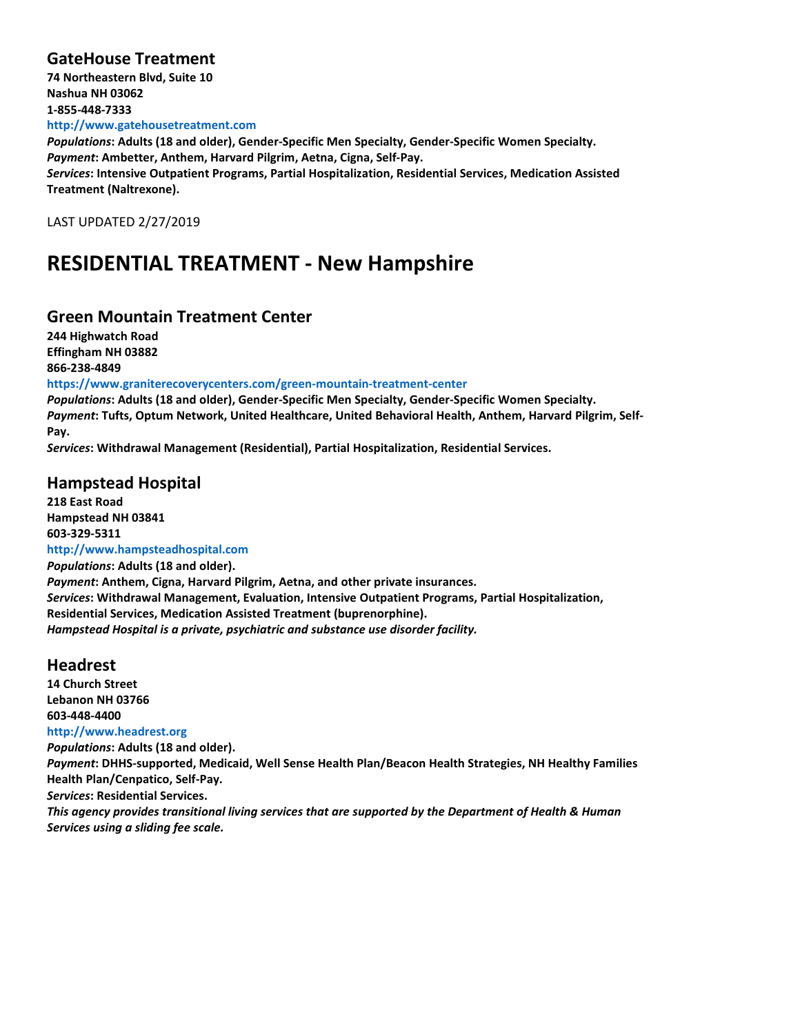### **GateHouse Treatment**

**74 Northeastern Blvd, Suite 10 Nashua NH 03062 1-855-448-7333 http://www.gatehousetreatment.com**

*Populations***: Adults (18 and older), Gender-Specific Men Specialty, Gender-Specific Women Specialty.** *Payment***: Ambetter, Anthem, Harvard Pilgrim, Aetna, Cigna, Self-Pay.**

*Services***: Intensive Outpatient Programs, Partial Hospitalization, Residential Services, Medication Assisted Treatment (Naltrexone).**

LAST UPDATED 2/27/2019

## **RESIDENTIAL TREATMENT - New Hampshire**

#### **Green Mountain Treatment Center**

**244 Highwatch Road Effingham NH 03882 866-238-4849**

**https://www.graniterecoverycenters.com/green-mountain-treatment-center**

*Populations***: Adults (18 and older), Gender-Specific Men Specialty, Gender-Specific Women Specialty.** *Payment***: Tufts, Optum Network, United Healthcare, United Behavioral Health, Anthem, Harvard Pilgrim, Self-Pay.**

*Services***: Withdrawal Management (Residential), Partial Hospitalization, Residential Services.**

### **Hampstead Hospital**

**218 East Road Hampstead NH 03841 603-329-5311 http://www.hampsteadhospital.com** *Populations***: Adults (18 and older).** *Payment***: Anthem, Cigna, Harvard Pilgrim, Aetna, and other private insurances.** *Services***: Withdrawal Management, Evaluation, Intensive Outpatient Programs, Partial Hospitalization, Residential Services, Medication Assisted Treatment (buprenorphine).** *Hampstead Hospital is a private, psychiatric and substance use disorder facility.*

#### **Headrest**

**14 Church Street Lebanon NH 03766 603-448-4400 http://www.headrest.org** *Populations***: Adults (18 and older).** *Payment***: DHHS-supported, Medicaid, Well Sense Health Plan/Beacon Health Strategies, NH Healthy Families Health Plan/Cenpatico, Self-Pay.** *Services***: Residential Services.** *This agency provides transitional living services that are supported by the Department of Health & Human Services using a sliding fee scale.*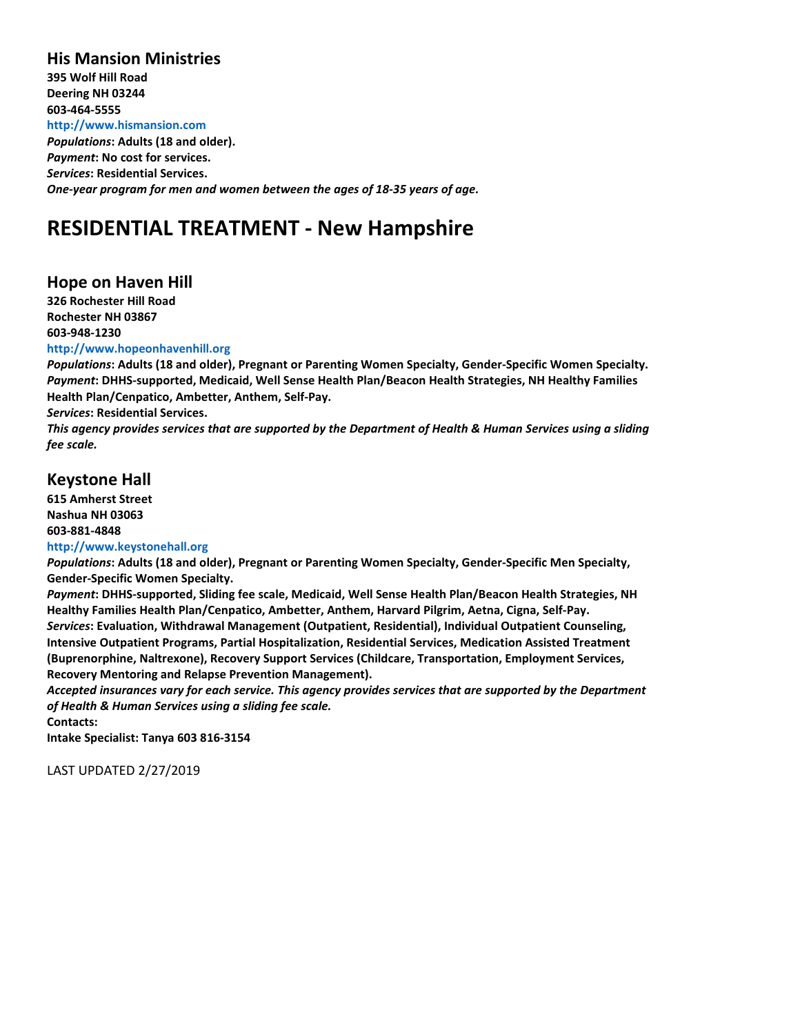#### **His Mansion Ministries**

**395 Wolf Hill Road Deering NH 03244 603-464-5555 http://www.hismansion.com** *Populations***: Adults (18 and older).** *Payment***: No cost for services.** *Services***: Residential Services.** *One-year program for men and women between the ages of 18-35 years of age.*

### **RESIDENTIAL TREATMENT - New Hampshire**

#### **Hope on Haven Hill**

**326 Rochester Hill Road Rochester NH 03867 603-948-1230**

#### **http://www.hopeonhavenhill.org**

*Populations***: Adults (18 and older), Pregnant or Parenting Women Specialty, Gender-Specific Women Specialty.** *Payment***: DHHS-supported, Medicaid, Well Sense Health Plan/Beacon Health Strategies, NH Healthy Families Health Plan/Cenpatico, Ambetter, Anthem, Self-Pay.**

*Services***: Residential Services.**

*This agency provides services that are supported by the Department of Health & Human Services using a sliding fee scale.*

#### **Keystone Hall**

**615 Amherst Street Nashua NH 03063 603-881-4848**

#### **http://www.keystonehall.org**

*Populations***: Adults (18 and older), Pregnant or Parenting Women Specialty, Gender-Specific Men Specialty, Gender-Specific Women Specialty.**

*Payment***: DHHS-supported, Sliding fee scale, Medicaid, Well Sense Health Plan/Beacon Health Strategies, NH Healthy Families Health Plan/Cenpatico, Ambetter, Anthem, Harvard Pilgrim, Aetna, Cigna, Self-Pay.** *Services***: Evaluation, Withdrawal Management (Outpatient, Residential), Individual Outpatient Counseling, Intensive Outpatient Programs, Partial Hospitalization, Residential Services, Medication Assisted Treatment (Buprenorphine, Naltrexone), Recovery Support Services (Childcare, Transportation, Employment Services, Recovery Mentoring and Relapse Prevention Management).**

*Accepted insurances vary for each service. This agency provides services that are supported by the Department of Health & Human Services using a sliding fee scale.*

**Contacts:**

**Intake Specialist: Tanya 603 816-3154**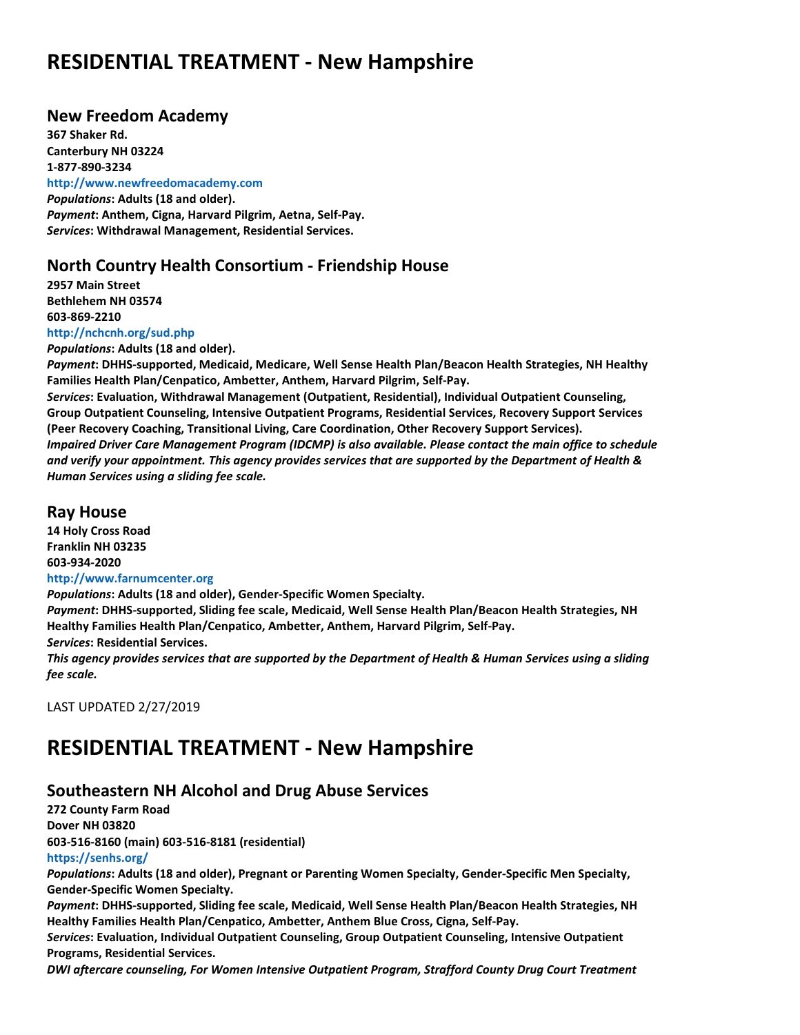### **RESIDENTIAL TREATMENT - New Hampshire**

#### **New Freedom Academy**

**367 Shaker Rd. Canterbury NH 03224 1-877-890-3234 http://www.newfreedomacademy.com** *Populations***: Adults (18 and older).** *Payment***: Anthem, Cigna, Harvard Pilgrim, Aetna, Self-Pay.** *Services***: Withdrawal Management, Residential Services.**

#### **North Country Health Consortium - Friendship House**

**2957 Main Street Bethlehem NH 03574 603-869-2210 http://nchcnh.org/sud.php**

*Populations***: Adults (18 and older).**

*Payment***: DHHS-supported, Medicaid, Medicare, Well Sense Health Plan/Beacon Health Strategies, NH Healthy Families Health Plan/Cenpatico, Ambetter, Anthem, Harvard Pilgrim, Self-Pay.**

*Services***: Evaluation, Withdrawal Management (Outpatient, Residential), Individual Outpatient Counseling, Group Outpatient Counseling, Intensive Outpatient Programs, Residential Services, Recovery Support Services (Peer Recovery Coaching, Transitional Living, Care Coordination, Other Recovery Support Services).** *Impaired Driver Care Management Program (IDCMP) is also available. Please contact the main office to schedule and verify your appointment. This agency provides services that are supported by the Department of Health & Human Services using a sliding fee scale.*

#### **Ray House**

**14 Holy Cross Road Franklin NH 03235 603-934-2020 http://www.farnumcenter.org**

*Populations***: Adults (18 and older), Gender-Specific Women Specialty.**

*Payment***: DHHS-supported, Sliding fee scale, Medicaid, Well Sense Health Plan/Beacon Health Strategies, NH Healthy Families Health Plan/Cenpatico, Ambetter, Anthem, Harvard Pilgrim, Self-Pay.**

*Services***: Residential Services.**

*This agency provides services that are supported by the Department of Health & Human Services using a sliding fee scale.*

LAST UPDATED 2/27/2019

## **RESIDENTIAL TREATMENT - New Hampshire**

### **Southeastern NH Alcohol and Drug Abuse Services**

**272 County Farm Road Dover NH 03820 603-516-8160 (main) 603-516-8181 (residential) https://senhs.org/**

*Populations***: Adults (18 and older), Pregnant or Parenting Women Specialty, Gender-Specific Men Specialty, Gender-Specific Women Specialty.**

*Payment***: DHHS-supported, Sliding fee scale, Medicaid, Well Sense Health Plan/Beacon Health Strategies, NH Healthy Families Health Plan/Cenpatico, Ambetter, Anthem Blue Cross, Cigna, Self-Pay.**

*Services***: Evaluation, Individual Outpatient Counseling, Group Outpatient Counseling, Intensive Outpatient Programs, Residential Services.**

*DWI aftercare counseling, For Women Intensive Outpatient Program, Strafford County Drug Court Treatment*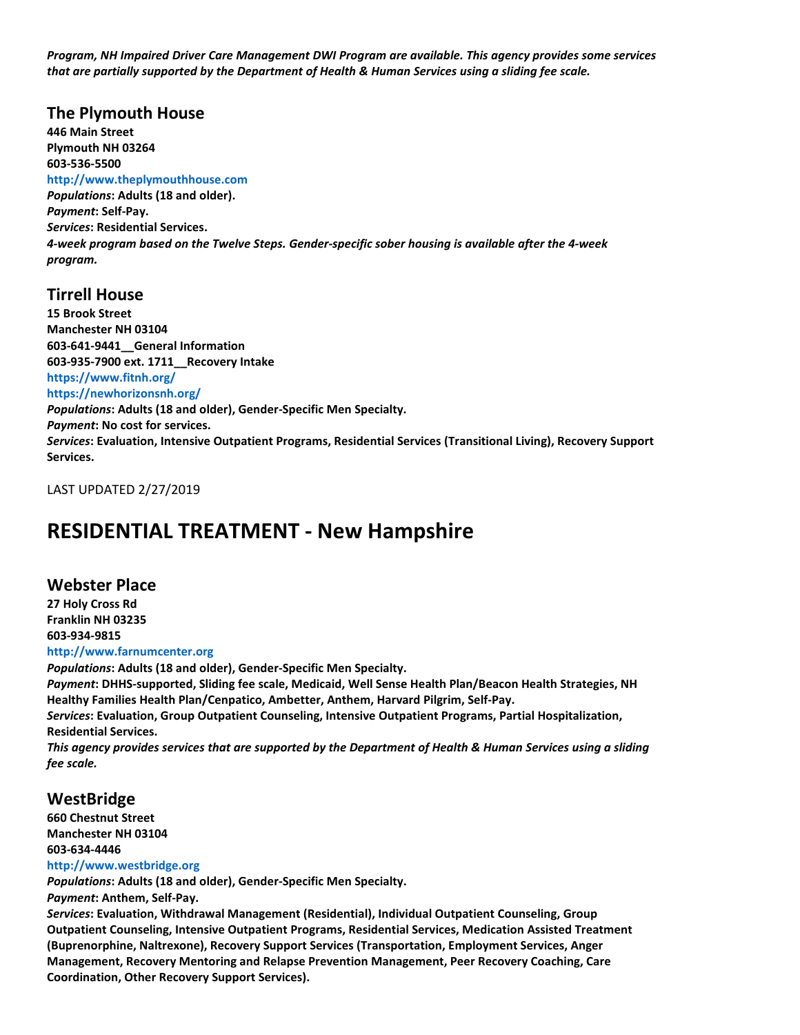*Program, NH Impaired Driver Care Management DWI Program are available. This agency provides some services that are partially supported by the Department of Health & Human Services using a sliding fee scale.*

#### **The Plymouth House**

**446 Main Street Plymouth NH 03264 603-536-5500**

#### **http://www.theplymouthhouse.com**

*Populations***: Adults (18 and older).** *Payment***: Self-Pay.** *Services***: Residential Services.** *4-week program based on the Twelve Steps. Gender-specific sober housing is available after the 4-week program.*

#### **Tirrell House**

**15 Brook Street Manchester NH 03104 603-641-9441\_\_General Information 603-935-7900 ext. 1711\_\_Recovery Intake https://www.fitnh.org/ https://newhorizonsnh.org/** *Populations***: Adults (18 and older), Gender-Specific Men Specialty.** *Payment***: No cost for services.** *Services***: Evaluation, Intensive Outpatient Programs, Residential Services (Transitional Living), Recovery Support Services.**

LAST UPDATED 2/27/2019

### **RESIDENTIAL TREATMENT - New Hampshire**

#### **Webster Place**

**27 Holy Cross Rd Franklin NH 03235 603-934-9815 http://www.farnumcenter.org**

*Populations***: Adults (18 and older), Gender-Specific Men Specialty.** *Payment***: DHHS-supported, Sliding fee scale, Medicaid, Well Sense Health Plan/Beacon Health Strategies, NH**

**Healthy Families Health Plan/Cenpatico, Ambetter, Anthem, Harvard Pilgrim, Self-Pay.** *Services***: Evaluation, Group Outpatient Counseling, Intensive Outpatient Programs, Partial Hospitalization, Residential Services.**

*This agency provides services that are supported by the Department of Health & Human Services using a sliding fee scale.*

#### **WestBridge**

**660 Chestnut Street Manchester NH 03104 603-634-4446**

#### **http://www.westbridge.org**

*Populations***: Adults (18 and older), Gender-Specific Men Specialty.**

*Payment***: Anthem, Self-Pay.**

*Services***: Evaluation, Withdrawal Management (Residential), Individual Outpatient Counseling, Group Outpatient Counseling, Intensive Outpatient Programs, Residential Services, Medication Assisted Treatment (Buprenorphine, Naltrexone), Recovery Support Services (Transportation, Employment Services, Anger Management, Recovery Mentoring and Relapse Prevention Management, Peer Recovery Coaching, Care Coordination, Other Recovery Support Services).**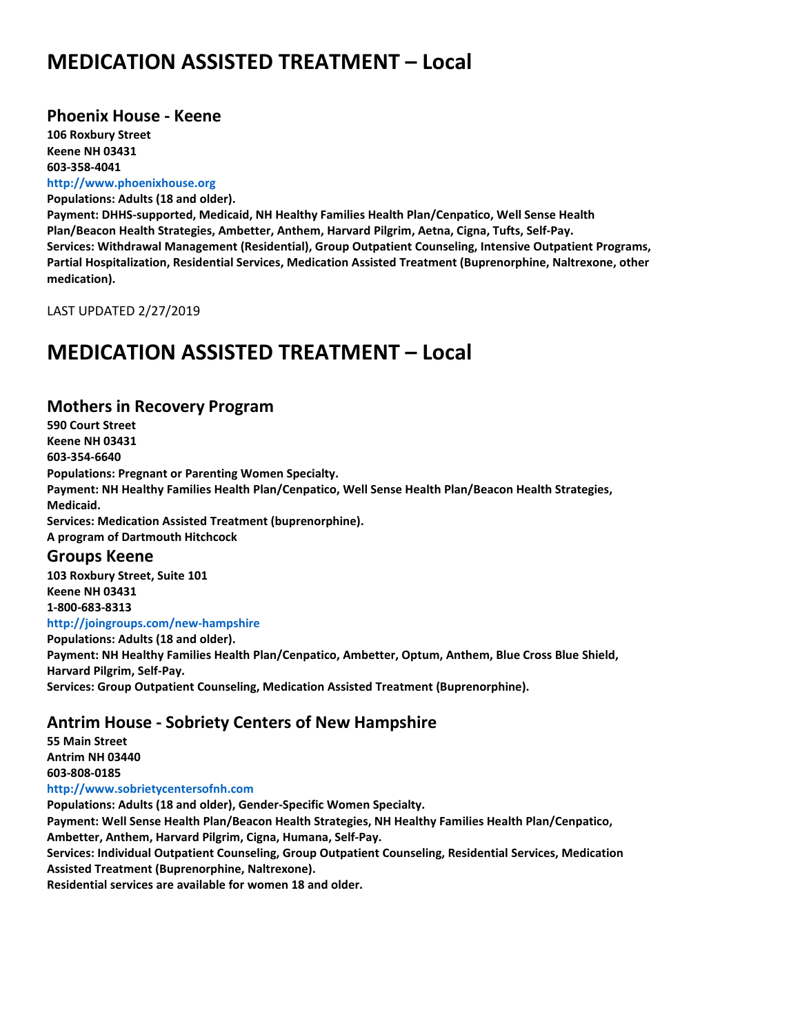### **MEDICATION ASSISTED TREATMENT – Local**

#### **Phoenix House - Keene**

**106 Roxbury Street Keene NH 03431 603-358-4041 http://www.phoenixhouse.org**

**Populations: Adults (18 and older). Payment: DHHS-supported, Medicaid, NH Healthy Families Health Plan/Cenpatico, Well Sense Health Plan/Beacon Health Strategies, Ambetter, Anthem, Harvard Pilgrim, Aetna, Cigna, Tufts, Self-Pay. Services: Withdrawal Management (Residential), Group Outpatient Counseling, Intensive Outpatient Programs, Partial Hospitalization, Residential Services, Medication Assisted Treatment (Buprenorphine, Naltrexone, other medication).**

LAST UPDATED 2/27/2019

### **MEDICATION ASSISTED TREATMENT – Local**

#### **Mothers in Recovery Program**

**590 Court Street Keene NH 03431 603-354-6640 Populations: Pregnant or Parenting Women Specialty. Payment: NH Healthy Families Health Plan/Cenpatico, Well Sense Health Plan/Beacon Health Strategies, Medicaid. Services: Medication Assisted Treatment (buprenorphine). A program of Dartmouth Hitchcock**

#### **Groups Keene**

**103 Roxbury Street, Suite 101 Keene NH 03431 1-800-683-8313 http://joingroups.com/new-hampshire**

**Populations: Adults (18 and older). Payment: NH Healthy Families Health Plan/Cenpatico, Ambetter, Optum, Anthem, Blue Cross Blue Shield, Harvard Pilgrim, Self-Pay. Services: Group Outpatient Counseling, Medication Assisted Treatment (Buprenorphine).**

#### **Antrim House - Sobriety Centers of New Hampshire**

**55 Main Street Antrim NH 03440 603-808-0185 http://www.sobrietycentersofnh.com Populations: Adults (18 and older), Gender-Specific Women Specialty. Payment: Well Sense Health Plan/Beacon Health Strategies, NH Healthy Families Health Plan/Cenpatico, Ambetter, Anthem, Harvard Pilgrim, Cigna, Humana, Self-Pay.**

**Services: Individual Outpatient Counseling, Group Outpatient Counseling, Residential Services, Medication Assisted Treatment (Buprenorphine, Naltrexone).**

**Residential services are available for women 18 and older.**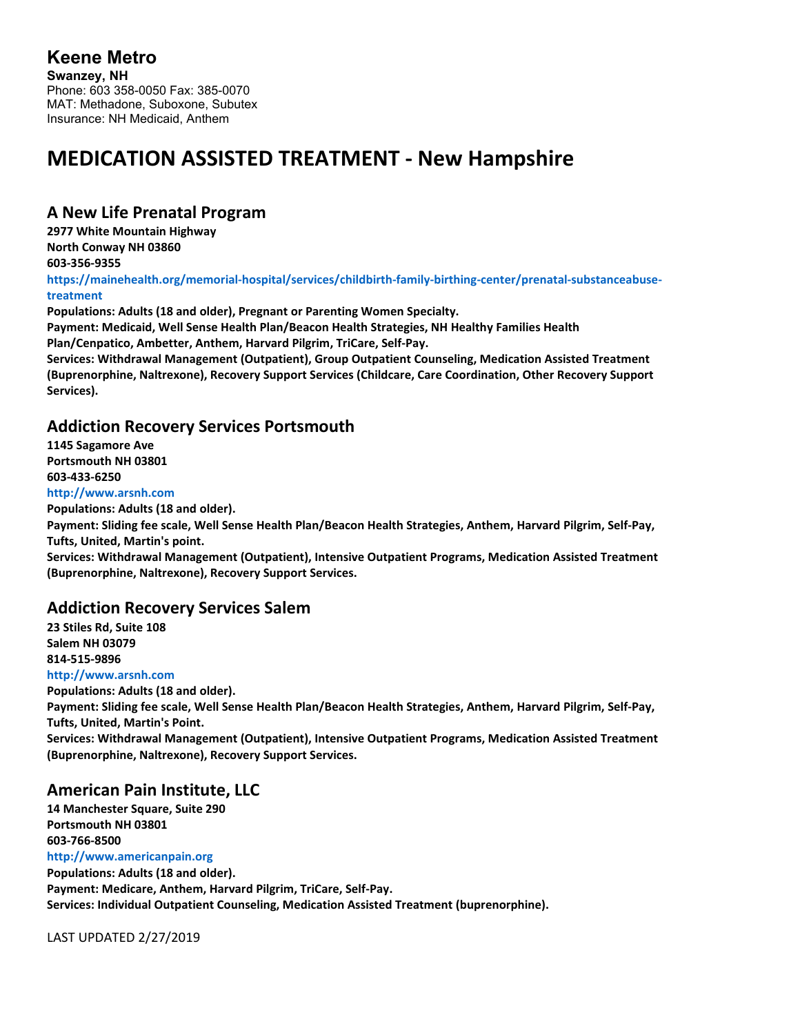#### **A New Life Prenatal Program**

**2977 White Mountain Highway North Conway NH 03860 603-356-9355 https://mainehealth.org/memorial-hospital/services/childbirth-family-birthing-center/prenatal-substanceabusetreatment**

**Populations: Adults (18 and older), Pregnant or Parenting Women Specialty. Payment: Medicaid, Well Sense Health Plan/Beacon Health Strategies, NH Healthy Families Health Plan/Cenpatico, Ambetter, Anthem, Harvard Pilgrim, TriCare, Self-Pay. Services: Withdrawal Management (Outpatient), Group Outpatient Counseling, Medication Assisted Treatment (Buprenorphine, Naltrexone), Recovery Support Services (Childcare, Care Coordination, Other Recovery Support**

#### **Addiction Recovery Services Portsmouth**

**1145 Sagamore Ave Portsmouth NH 03801 603-433-6250 http://www.arsnh.com**

**Services).**

**Populations: Adults (18 and older).**

**Payment: Sliding fee scale, Well Sense Health Plan/Beacon Health Strategies, Anthem, Harvard Pilgrim, Self-Pay, Tufts, United, Martin's point.**

**Services: Withdrawal Management (Outpatient), Intensive Outpatient Programs, Medication Assisted Treatment (Buprenorphine, Naltrexone), Recovery Support Services.**

#### **Addiction Recovery Services Salem**

**23 Stiles Rd, Suite 108 Salem NH 03079 814-515-9896**

**http://www.arsnh.com**

**Populations: Adults (18 and older).**

**Payment: Sliding fee scale, Well Sense Health Plan/Beacon Health Strategies, Anthem, Harvard Pilgrim, Self-Pay, Tufts, United, Martin's Point.**

**Services: Withdrawal Management (Outpatient), Intensive Outpatient Programs, Medication Assisted Treatment (Buprenorphine, Naltrexone), Recovery Support Services.**

### **American Pain Institute, LLC**

**14 Manchester Square, Suite 290 Portsmouth NH 03801 603-766-8500**

**http://www.americanpain.org**

**Populations: Adults (18 and older). Payment: Medicare, Anthem, Harvard Pilgrim, TriCare, Self-Pay. Services: Individual Outpatient Counseling, Medication Assisted Treatment (buprenorphine).**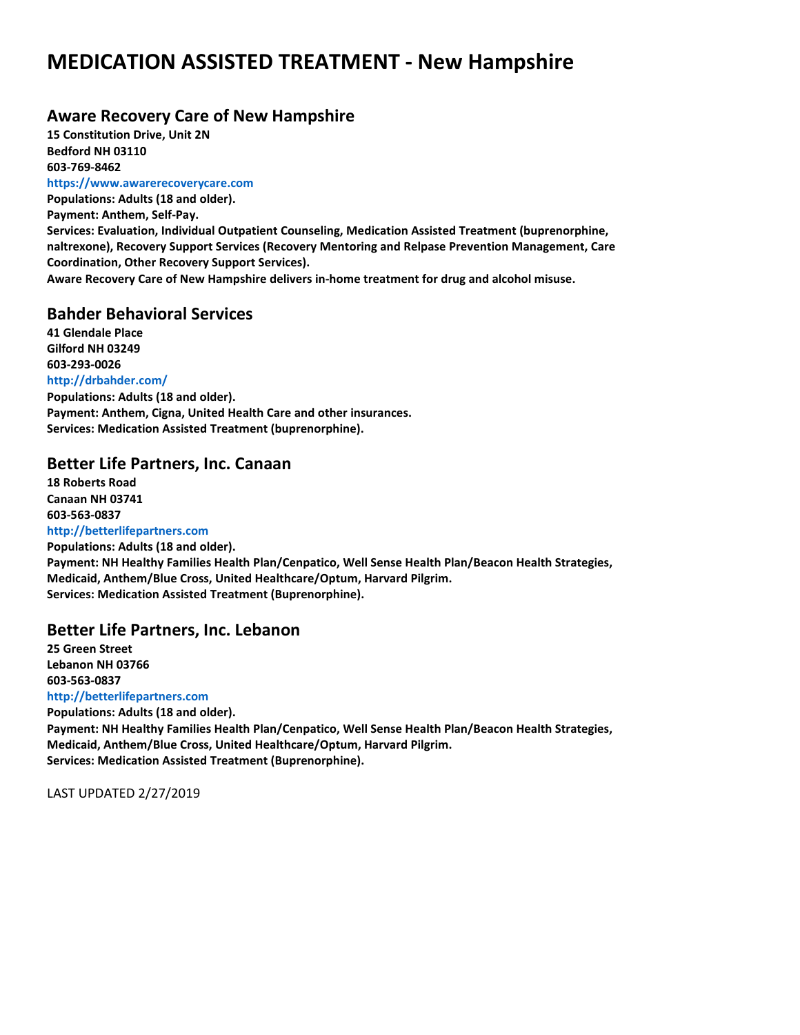#### **Aware Recovery Care of New Hampshire**

**15 Constitution Drive, Unit 2N Bedford NH 03110 603-769-8462 https://www.awarerecoverycare.com**

**Populations: Adults (18 and older). Payment: Anthem, Self-Pay. Services: Evaluation, Individual Outpatient Counseling, Medication Assisted Treatment (buprenorphine, naltrexone), Recovery Support Services (Recovery Mentoring and Relpase Prevention Management, Care Coordination, Other Recovery Support Services). Aware Recovery Care of New Hampshire delivers in-home treatment for drug and alcohol misuse.**

#### **Bahder Behavioral Services**

**41 Glendale Place Gilford NH 03249 603-293-0026 http://drbahder.com/ Populations: Adults (18 and older). Payment: Anthem, Cigna, United Health Care and other insurances. Services: Medication Assisted Treatment (buprenorphine).**

#### **Better Life Partners, Inc. Canaan**

**18 Roberts Road Canaan NH 03741 603-563-0837**

**http://betterlifepartners.com Populations: Adults (18 and older). Payment: NH Healthy Families Health Plan/Cenpatico, Well Sense Health Plan/Beacon Health Strategies, Medicaid, Anthem/Blue Cross, United Healthcare/Optum, Harvard Pilgrim. Services: Medication Assisted Treatment (Buprenorphine).**

#### **Better Life Partners, Inc. Lebanon**

**25 Green Street Lebanon NH 03766 603-563-0837 http://betterlifepartners.com**

**Populations: Adults (18 and older). Payment: NH Healthy Families Health Plan/Cenpatico, Well Sense Health Plan/Beacon Health Strategies, Medicaid, Anthem/Blue Cross, United Healthcare/Optum, Harvard Pilgrim. Services: Medication Assisted Treatment (Buprenorphine).**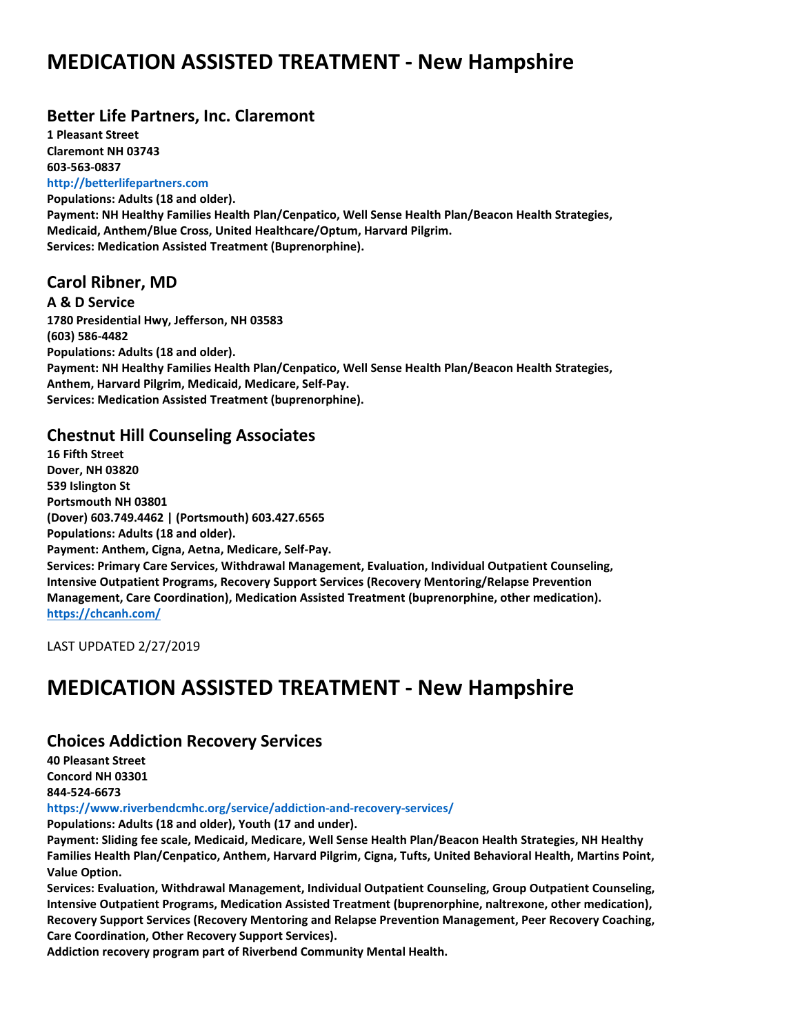#### **Better Life Partners, Inc. Claremont**

**1 Pleasant Street Claremont NH 03743 603-563-0837**

**http://betterlifepartners.com Populations: Adults (18 and older). Payment: NH Healthy Families Health Plan/Cenpatico, Well Sense Health Plan/Beacon Health Strategies, Medicaid, Anthem/Blue Cross, United Healthcare/Optum, Harvard Pilgrim. Services: Medication Assisted Treatment (Buprenorphine).**

### **Carol Ribner, MD**

**A & D Service 1780 Presidential Hwy, Jefferson, NH 03583 (603) 586-4482 Populations: Adults (18 and older). Payment: NH Healthy Families Health Plan/Cenpatico, Well Sense Health Plan/Beacon Health Strategies, Anthem, Harvard Pilgrim, Medicaid, Medicare, Self-Pay. Services: Medication Assisted Treatment (buprenorphine).**

### **Chestnut Hill Counseling Associates**

**16 Fifth Street Dover, NH 03820 539 Islington St Portsmouth NH 03801 (Dover) 603.749.4462 | (Portsmouth) 603.427.6565 Populations: Adults (18 and older). Payment: Anthem, Cigna, Aetna, Medicare, Self-Pay. Services: Primary Care Services, Withdrawal Management, Evaluation, Individual Outpatient Counseling, Intensive Outpatient Programs, Recovery Support Services (Recovery Mentoring/Relapse Prevention Management, Care Coordination), Medication Assisted Treatment (buprenorphine, other medication). <https://chcanh.com/>**

LAST UPDATED 2/27/2019

## **MEDICATION ASSISTED TREATMENT - New Hampshire**

### **Choices Addiction Recovery Services**

**40 Pleasant Street Concord NH 03301 844-524-6673**

**https://www.riverbendcmhc.org/service/addiction-and-recovery-services/**

**Populations: Adults (18 and older), Youth (17 and under).**

**Payment: Sliding fee scale, Medicaid, Medicare, Well Sense Health Plan/Beacon Health Strategies, NH Healthy Families Health Plan/Cenpatico, Anthem, Harvard Pilgrim, Cigna, Tufts, United Behavioral Health, Martins Point, Value Option.**

**Services: Evaluation, Withdrawal Management, Individual Outpatient Counseling, Group Outpatient Counseling, Intensive Outpatient Programs, Medication Assisted Treatment (buprenorphine, naltrexone, other medication), Recovery Support Services (Recovery Mentoring and Relapse Prevention Management, Peer Recovery Coaching, Care Coordination, Other Recovery Support Services).**

**Addiction recovery program part of Riverbend Community Mental Health.**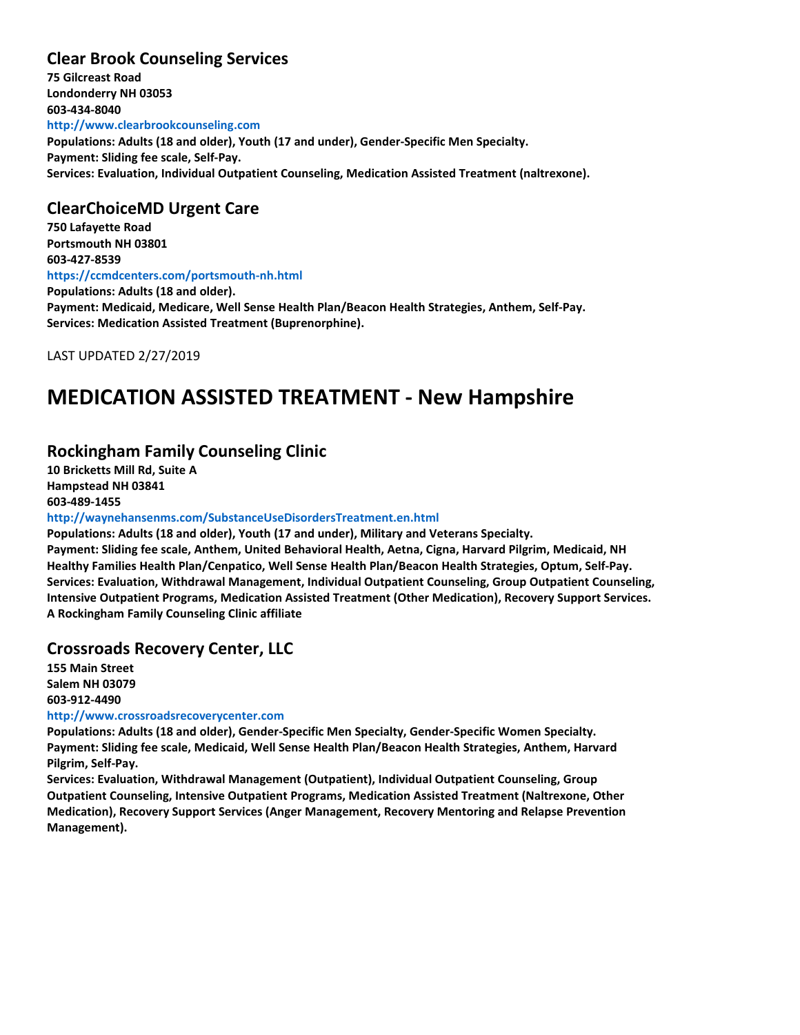#### **Clear Brook Counseling Services**

**75 Gilcreast Road Londonderry NH 03053 603-434-8040 http://www.clearbrookcounseling.com Populations: Adults (18 and older), Youth (17 and under), Gender-Specific Men Specialty. Payment: Sliding fee scale, Self-Pay. Services: Evaluation, Individual Outpatient Counseling, Medication Assisted Treatment (naltrexone).**

#### **ClearChoiceMD Urgent Care**

**750 Lafayette Road Portsmouth NH 03801 603-427-8539 https://ccmdcenters.com/portsmouth-nh.html Populations: Adults (18 and older). Payment: Medicaid, Medicare, Well Sense Health Plan/Beacon Health Strategies, Anthem, Self-Pay. Services: Medication Assisted Treatment (Buprenorphine).**

LAST UPDATED 2/27/2019

### **MEDICATION ASSISTED TREATMENT - New Hampshire**

#### **Rockingham Family Counseling Clinic**

**10 Bricketts Mill Rd, Suite A Hampstead NH 03841 603-489-1455**

#### **http://waynehansenms.com/SubstanceUseDisordersTreatment.en.html**

**Populations: Adults (18 and older), Youth (17 and under), Military and Veterans Specialty. Payment: Sliding fee scale, Anthem, United Behavioral Health, Aetna, Cigna, Harvard Pilgrim, Medicaid, NH Healthy Families Health Plan/Cenpatico, Well Sense Health Plan/Beacon Health Strategies, Optum, Self-Pay. Services: Evaluation, Withdrawal Management, Individual Outpatient Counseling, Group Outpatient Counseling, Intensive Outpatient Programs, Medication Assisted Treatment (Other Medication), Recovery Support Services. A Rockingham Family Counseling Clinic affiliate**

#### **Crossroads Recovery Center, LLC**

**155 Main Street Salem NH 03079 603-912-4490**

#### **http://www.crossroadsrecoverycenter.com**

**Populations: Adults (18 and older), Gender-Specific Men Specialty, Gender-Specific Women Specialty. Payment: Sliding fee scale, Medicaid, Well Sense Health Plan/Beacon Health Strategies, Anthem, Harvard Pilgrim, Self-Pay.**

**Services: Evaluation, Withdrawal Management (Outpatient), Individual Outpatient Counseling, Group Outpatient Counseling, Intensive Outpatient Programs, Medication Assisted Treatment (Naltrexone, Other Medication), Recovery Support Services (Anger Management, Recovery Mentoring and Relapse Prevention Management).**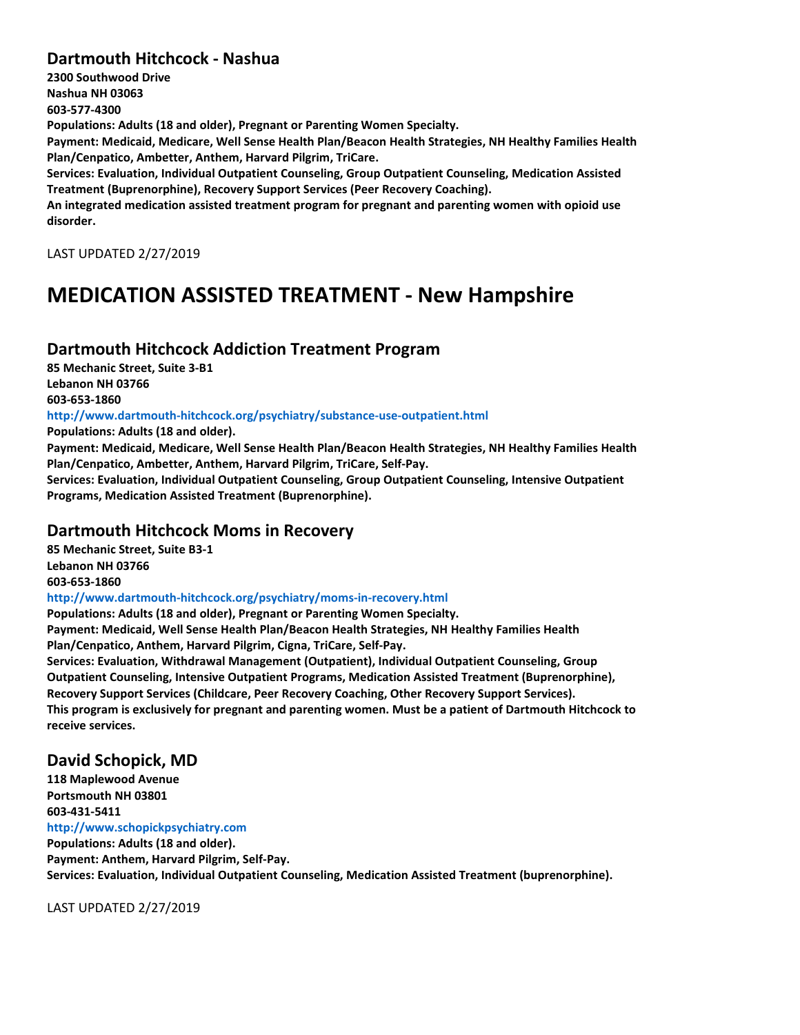#### **Dartmouth Hitchcock - Nashua**

**2300 Southwood Drive Nashua NH 03063 603-577-4300 Populations: Adults (18 and older), Pregnant or Parenting Women Specialty. Payment: Medicaid, Medicare, Well Sense Health Plan/Beacon Health Strategies, NH Healthy Families Health Plan/Cenpatico, Ambetter, Anthem, Harvard Pilgrim, TriCare. Services: Evaluation, Individual Outpatient Counseling, Group Outpatient Counseling, Medication Assisted Treatment (Buprenorphine), Recovery Support Services (Peer Recovery Coaching). An integrated medication assisted treatment program for pregnant and parenting women with opioid use disorder.**

LAST UPDATED 2/27/2019

## **MEDICATION ASSISTED TREATMENT - New Hampshire**

#### **Dartmouth Hitchcock Addiction Treatment Program**

**85 Mechanic Street, Suite 3-B1 Lebanon NH 03766 603-653-1860**

**http://www.dartmouth-hitchcock.org/psychiatry/substance-use-outpatient.html**

**Populations: Adults (18 and older).**

**Payment: Medicaid, Medicare, Well Sense Health Plan/Beacon Health Strategies, NH Healthy Families Health Plan/Cenpatico, Ambetter, Anthem, Harvard Pilgrim, TriCare, Self-Pay.**

**Services: Evaluation, Individual Outpatient Counseling, Group Outpatient Counseling, Intensive Outpatient Programs, Medication Assisted Treatment (Buprenorphine).**

#### **Dartmouth Hitchcock Moms in Recovery**

**85 Mechanic Street, Suite B3-1 Lebanon NH 03766 603-653-1860 http://www.dartmouth-hitchcock.org/psychiatry/moms-in-recovery.html Populations: Adults (18 and older), Pregnant or Parenting Women Specialty.**

**Payment: Medicaid, Well Sense Health Plan/Beacon Health Strategies, NH Healthy Families Health Plan/Cenpatico, Anthem, Harvard Pilgrim, Cigna, TriCare, Self-Pay.**

**Services: Evaluation, Withdrawal Management (Outpatient), Individual Outpatient Counseling, Group Outpatient Counseling, Intensive Outpatient Programs, Medication Assisted Treatment (Buprenorphine), Recovery Support Services (Childcare, Peer Recovery Coaching, Other Recovery Support Services). This program is exclusively for pregnant and parenting women. Must be a patient of Dartmouth Hitchcock to receive services.**

#### **David Schopick, MD**

**118 Maplewood Avenue Portsmouth NH 03801 603-431-5411 http://www.schopickpsychiatry.com Populations: Adults (18 and older). Payment: Anthem, Harvard Pilgrim, Self-Pay. Services: Evaluation, Individual Outpatient Counseling, Medication Assisted Treatment (buprenorphine).**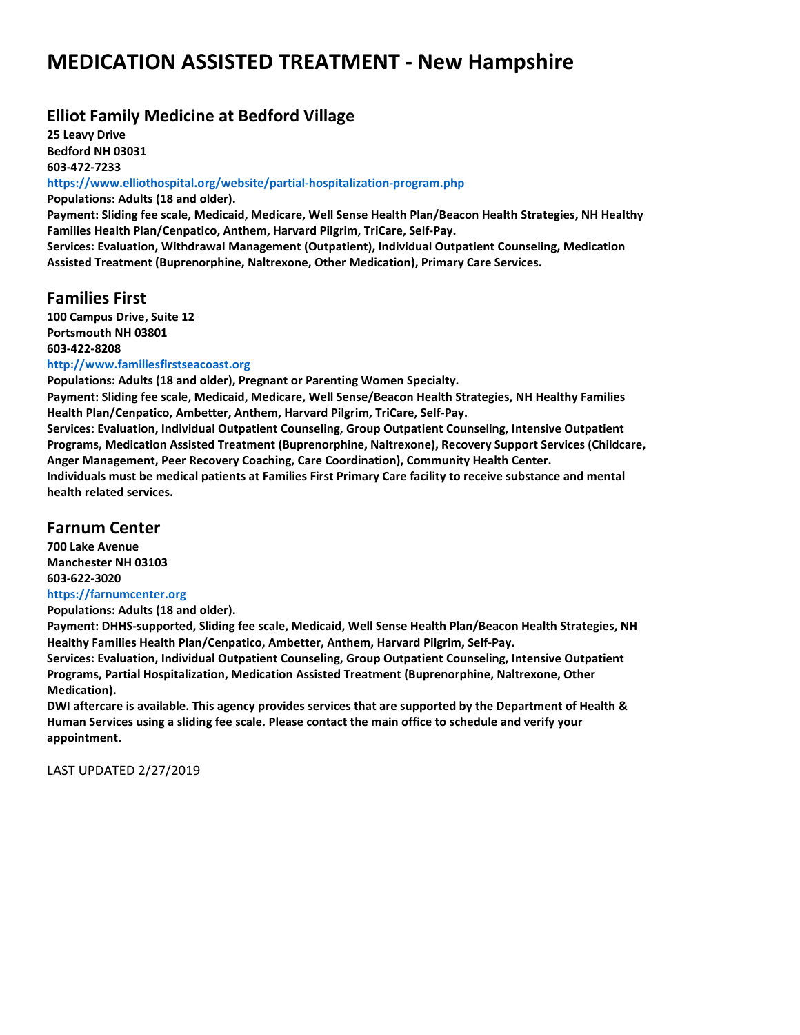### **Elliot Family Medicine at Bedford Village**

**25 Leavy Drive Bedford NH 03031 603-472-7233**

**https://www.elliothospital.org/website/partial-hospitalization-program.php**

**Populations: Adults (18 and older).**

**Payment: Sliding fee scale, Medicaid, Medicare, Well Sense Health Plan/Beacon Health Strategies, NH Healthy Families Health Plan/Cenpatico, Anthem, Harvard Pilgrim, TriCare, Self-Pay.**

**Services: Evaluation, Withdrawal Management (Outpatient), Individual Outpatient Counseling, Medication Assisted Treatment (Buprenorphine, Naltrexone, Other Medication), Primary Care Services.**

#### **Families First**

**100 Campus Drive, Suite 12 Portsmouth NH 03801 603-422-8208**

**http://www.familiesfirstseacoast.org**

**Populations: Adults (18 and older), Pregnant or Parenting Women Specialty. Payment: Sliding fee scale, Medicaid, Medicare, Well Sense/Beacon Health Strategies, NH Healthy Families Health Plan/Cenpatico, Ambetter, Anthem, Harvard Pilgrim, TriCare, Self-Pay. Services: Evaluation, Individual Outpatient Counseling, Group Outpatient Counseling, Intensive Outpatient**

**Programs, Medication Assisted Treatment (Buprenorphine, Naltrexone), Recovery Support Services (Childcare, Anger Management, Peer Recovery Coaching, Care Coordination), Community Health Center. Individuals must be medical patients at Families First Primary Care facility to receive substance and mental health related services.**

#### **Farnum Center**

**700 Lake Avenue Manchester NH 03103 603-622-3020 https://farnumcenter.org**

**Populations: Adults (18 and older).**

**Payment: DHHS-supported, Sliding fee scale, Medicaid, Well Sense Health Plan/Beacon Health Strategies, NH Healthy Families Health Plan/Cenpatico, Ambetter, Anthem, Harvard Pilgrim, Self-Pay.**

**Services: Evaluation, Individual Outpatient Counseling, Group Outpatient Counseling, Intensive Outpatient Programs, Partial Hospitalization, Medication Assisted Treatment (Buprenorphine, Naltrexone, Other Medication).**

**DWI aftercare is available. This agency provides services that are supported by the Department of Health & Human Services using a sliding fee scale. Please contact the main office to schedule and verify your appointment.**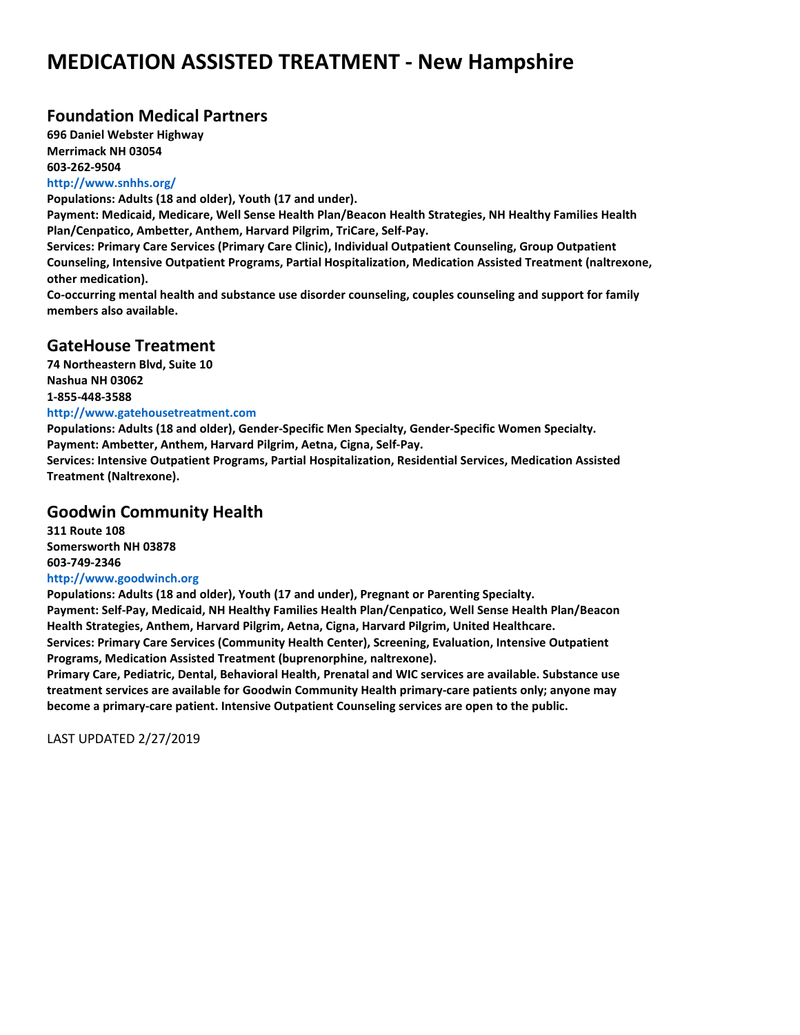#### **Foundation Medical Partners**

**696 Daniel Webster Highway Merrimack NH 03054 603-262-9504 http://www.snhhs.org/**

**Populations: Adults (18 and older), Youth (17 and under).**

**Payment: Medicaid, Medicare, Well Sense Health Plan/Beacon Health Strategies, NH Healthy Families Health Plan/Cenpatico, Ambetter, Anthem, Harvard Pilgrim, TriCare, Self-Pay.**

**Services: Primary Care Services (Primary Care Clinic), Individual Outpatient Counseling, Group Outpatient Counseling, Intensive Outpatient Programs, Partial Hospitalization, Medication Assisted Treatment (naltrexone, other medication).**

**Co-occurring mental health and substance use disorder counseling, couples counseling and support for family members also available.**

#### **GateHouse Treatment**

**74 Northeastern Blvd, Suite 10 Nashua NH 03062 1-855-448-3588 http://www.gatehousetreatment.com**

**Populations: Adults (18 and older), Gender-Specific Men Specialty, Gender-Specific Women Specialty. Payment: Ambetter, Anthem, Harvard Pilgrim, Aetna, Cigna, Self-Pay. Services: Intensive Outpatient Programs, Partial Hospitalization, Residential Services, Medication Assisted**

**Treatment (Naltrexone).**

#### **Goodwin Community Health**

**311 Route 108 Somersworth NH 03878 603-749-2346**

#### **http://www.goodwinch.org**

**Populations: Adults (18 and older), Youth (17 and under), Pregnant or Parenting Specialty. Payment: Self-Pay, Medicaid, NH Healthy Families Health Plan/Cenpatico, Well Sense Health Plan/Beacon Health Strategies, Anthem, Harvard Pilgrim, Aetna, Cigna, Harvard Pilgrim, United Healthcare.**

**Services: Primary Care Services (Community Health Center), Screening, Evaluation, Intensive Outpatient Programs, Medication Assisted Treatment (buprenorphine, naltrexone).**

**Primary Care, Pediatric, Dental, Behavioral Health, Prenatal and WIC services are available. Substance use treatment services are available for Goodwin Community Health primary-care patients only; anyone may become a primary-care patient. Intensive Outpatient Counseling services are open to the public.**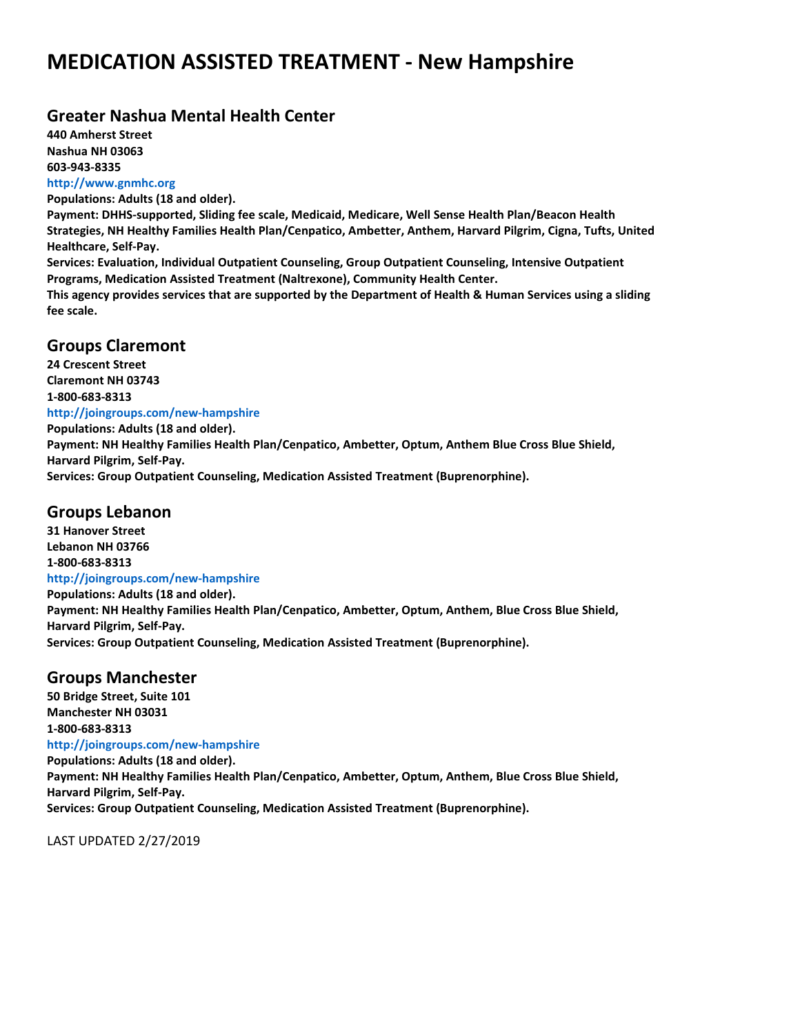#### **Greater Nashua Mental Health Center**

**440 Amherst Street Nashua NH 03063 603-943-8335 http://www.gnmhc.org**

**Populations: Adults (18 and older).**

**Payment: DHHS-supported, Sliding fee scale, Medicaid, Medicare, Well Sense Health Plan/Beacon Health Strategies, NH Healthy Families Health Plan/Cenpatico, Ambetter, Anthem, Harvard Pilgrim, Cigna, Tufts, United Healthcare, Self-Pay. Services: Evaluation, Individual Outpatient Counseling, Group Outpatient Counseling, Intensive Outpatient Programs, Medication Assisted Treatment (Naltrexone), Community Health Center.**

**This agency provides services that are supported by the Department of Health & Human Services using a sliding fee scale.**

#### **Groups Claremont**

**24 Crescent Street Claremont NH 03743 1-800-683-8313 http://joingroups.com/new-hampshire Populations: Adults (18 and older). Payment: NH Healthy Families Health Plan/Cenpatico, Ambetter, Optum, Anthem Blue Cross Blue Shield, Harvard Pilgrim, Self-Pay. Services: Group Outpatient Counseling, Medication Assisted Treatment (Buprenorphine).**

### **Groups Lebanon**

**31 Hanover Street Lebanon NH 03766 1-800-683-8313 http://joingroups.com/new-hampshire Populations: Adults (18 and older). Payment: NH Healthy Families Health Plan/Cenpatico, Ambetter, Optum, Anthem, Blue Cross Blue Shield, Harvard Pilgrim, Self-Pay. Services: Group Outpatient Counseling, Medication Assisted Treatment (Buprenorphine).**

### **Groups Manchester**

**50 Bridge Street, Suite 101 Manchester NH 03031 1-800-683-8313 http://joingroups.com/new-hampshire Populations: Adults (18 and older). Payment: NH Healthy Families Health Plan/Cenpatico, Ambetter, Optum, Anthem, Blue Cross Blue Shield, Harvard Pilgrim, Self-Pay. Services: Group Outpatient Counseling, Medication Assisted Treatment (Buprenorphine).**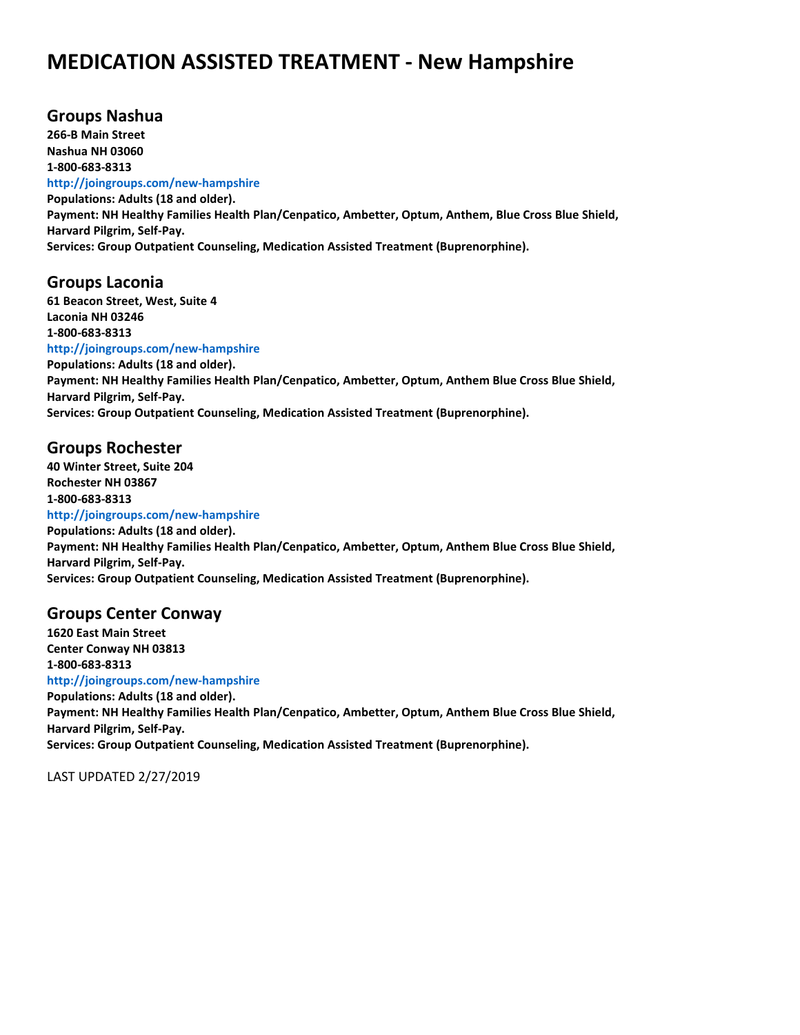#### **Groups Nashua**

**266-B Main Street Nashua NH 03060 1-800-683-8313**

#### **http://joingroups.com/new-hampshire**

**Populations: Adults (18 and older). Payment: NH Healthy Families Health Plan/Cenpatico, Ambetter, Optum, Anthem, Blue Cross Blue Shield, Harvard Pilgrim, Self-Pay. Services: Group Outpatient Counseling, Medication Assisted Treatment (Buprenorphine).**

#### **Groups Laconia**

**61 Beacon Street, West, Suite 4 Laconia NH 03246 1-800-683-8313**

**http://joingroups.com/new-hampshire**

**Populations: Adults (18 and older). Payment: NH Healthy Families Health Plan/Cenpatico, Ambetter, Optum, Anthem Blue Cross Blue Shield, Harvard Pilgrim, Self-Pay. Services: Group Outpatient Counseling, Medication Assisted Treatment (Buprenorphine).**

#### **Groups Rochester**

**40 Winter Street, Suite 204 Rochester NH 03867 1-800-683-8313 http://joingroups.com/new-hampshire Populations: Adults (18 and older). Payment: NH Healthy Families Health Plan/Cenpatico, Ambetter, Optum, Anthem Blue Cross Blue Shield, Harvard Pilgrim, Self-Pay. Services: Group Outpatient Counseling, Medication Assisted Treatment (Buprenorphine).**

#### **Groups Center Conway**

**1620 East Main Street Center Conway NH 03813 1-800-683-8313 http://joingroups.com/new-hampshire Populations: Adults (18 and older). Payment: NH Healthy Families Health Plan/Cenpatico, Ambetter, Optum, Anthem Blue Cross Blue Shield, Harvard Pilgrim, Self-Pay. Services: Group Outpatient Counseling, Medication Assisted Treatment (Buprenorphine).**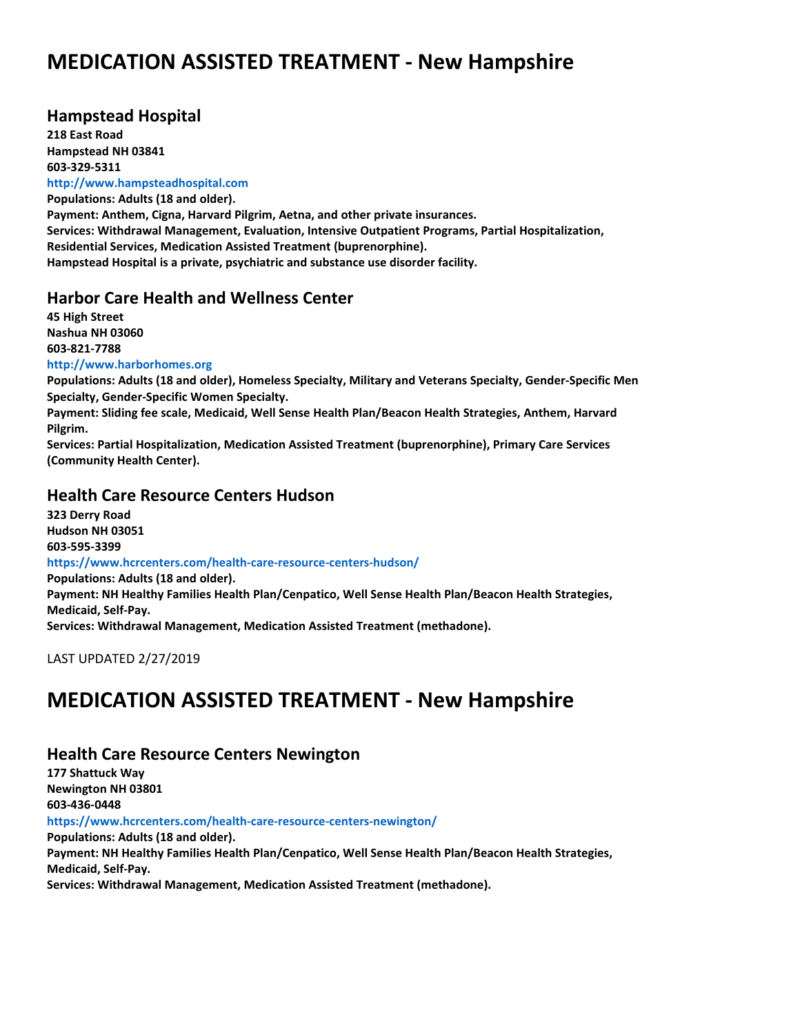#### **Hampstead Hospital**

**218 East Road Hampstead NH 03841 603-329-5311 http://www.hampsteadhospital.com**

**Populations: Adults (18 and older). Payment: Anthem, Cigna, Harvard Pilgrim, Aetna, and other private insurances. Services: Withdrawal Management, Evaluation, Intensive Outpatient Programs, Partial Hospitalization, Residential Services, Medication Assisted Treatment (buprenorphine). Hampstead Hospital is a private, psychiatric and substance use disorder facility.**

#### **Harbor Care Health and Wellness Center**

**45 High Street Nashua NH 03060 603-821-7788 http://www.harborhomes.org Populations: Adults (18 and older), Homeless Specialty, Military and Veterans Specialty, Gender-Specific Men Specialty, Gender-Specific Women Specialty. Payment: Sliding fee scale, Medicaid, Well Sense Health Plan/Beacon Health Strategies, Anthem, Harvard Pilgrim. Services: Partial Hospitalization, Medication Assisted Treatment (buprenorphine), Primary Care Services**

#### **Health Care Resource Centers Hudson**

**323 Derry Road Hudson NH 03051 603-595-3399 https://www.hcrcenters.com/health-care-resource-centers-hudson/ Populations: Adults (18 and older). Payment: NH Healthy Families Health Plan/Cenpatico, Well Sense Health Plan/Beacon Health Strategies, Medicaid, Self-Pay. Services: Withdrawal Management, Medication Assisted Treatment (methadone).**

LAST UPDATED 2/27/2019

**(Community Health Center).**

## **MEDICATION ASSISTED TREATMENT - New Hampshire**

#### **Health Care Resource Centers Newington**

**177 Shattuck Way Newington NH 03801 603-436-0448 https://www.hcrcenters.com/health-care-resource-centers-newington/ Populations: Adults (18 and older). Payment: NH Healthy Families Health Plan/Cenpatico, Well Sense Health Plan/Beacon Health Strategies, Medicaid, Self-Pay. Services: Withdrawal Management, Medication Assisted Treatment (methadone).**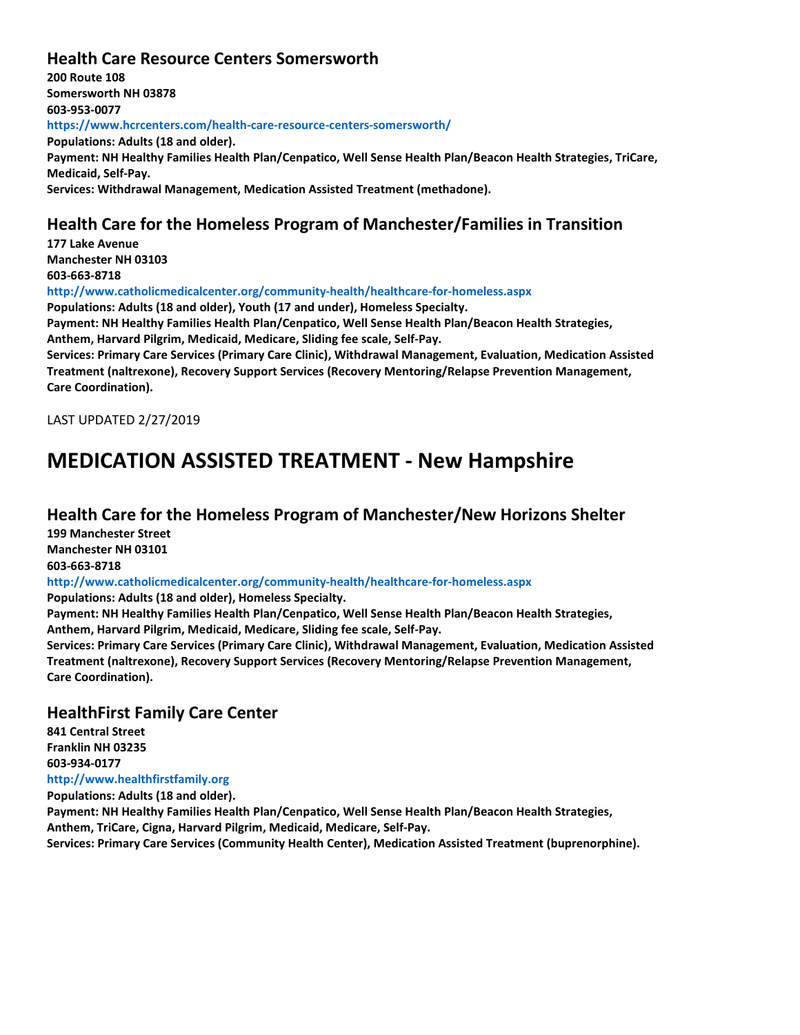#### **Health Care Resource Centers Somersworth**

**200 Route 108 Somersworth NH 03878 603-953-0077 https://www.hcrcenters.com/health-care-resource-centers-somersworth/ Populations: Adults (18 and older). Payment: NH Healthy Families Health Plan/Cenpatico, Well Sense Health Plan/Beacon Health Strategies, TriCare, Medicaid, Self-Pay. Services: Withdrawal Management, Medication Assisted Treatment (methadone).**

### **Health Care for the Homeless Program of Manchester/Families in Transition**

**177 Lake Avenue Manchester NH 03103 603-663-8718**

**http://www.catholicmedicalcenter.org/community-health/healthcare-for-homeless.aspx**

**Populations: Adults (18 and older), Youth (17 and under), Homeless Specialty.**

**Payment: NH Healthy Families Health Plan/Cenpatico, Well Sense Health Plan/Beacon Health Strategies, Anthem, Harvard Pilgrim, Medicaid, Medicare, Sliding fee scale, Self-Pay.**

**Services: Primary Care Services (Primary Care Clinic), Withdrawal Management, Evaluation, Medication Assisted Treatment (naltrexone), Recovery Support Services (Recovery Mentoring/Relapse Prevention Management, Care Coordination).**

LAST UPDATED 2/27/2019

## **MEDICATION ASSISTED TREATMENT - New Hampshire**

#### **Health Care for the Homeless Program of Manchester/New Horizons Shelter**

**199 Manchester Street Manchester NH 03101 603-663-8718**

**http://www.catholicmedicalcenter.org/community-health/healthcare-for-homeless.aspx**

**Populations: Adults (18 and older), Homeless Specialty.**

**Payment: NH Healthy Families Health Plan/Cenpatico, Well Sense Health Plan/Beacon Health Strategies, Anthem, Harvard Pilgrim, Medicaid, Medicare, Sliding fee scale, Self-Pay.**

**Services: Primary Care Services (Primary Care Clinic), Withdrawal Management, Evaluation, Medication Assisted Treatment (naltrexone), Recovery Support Services (Recovery Mentoring/Relapse Prevention Management, Care Coordination).**

#### **HealthFirst Family Care Center**

**841 Central Street Franklin NH 03235 603-934-0177 http://www.healthfirstfamily.org Populations: Adults (18 and older). Payment: NH Healthy Families Health Plan/Cenpatico, Well Sense Health Plan/Beacon Health Strategies, Anthem, TriCare, Cigna, Harvard Pilgrim, Medicaid, Medicare, Self-Pay.**

**Services: Primary Care Services (Community Health Center), Medication Assisted Treatment (buprenorphine).**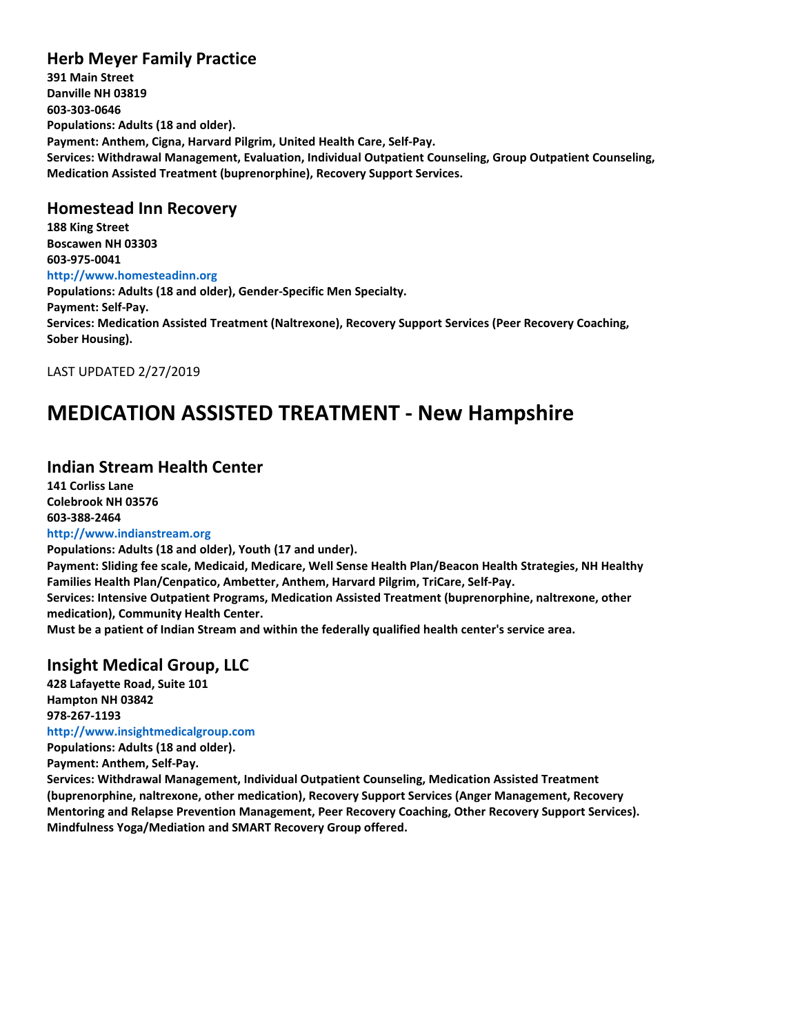### **Herb Meyer Family Practice**

**391 Main Street Danville NH 03819 603-303-0646 Populations: Adults (18 and older). Payment: Anthem, Cigna, Harvard Pilgrim, United Health Care, Self-Pay. Services: Withdrawal Management, Evaluation, Individual Outpatient Counseling, Group Outpatient Counseling, Medication Assisted Treatment (buprenorphine), Recovery Support Services.**

#### **Homestead Inn Recovery**

**188 King Street Boscawen NH 03303 603-975-0041 http://www.homesteadinn.org Populations: Adults (18 and older), Gender-Specific Men Specialty. Payment: Self-Pay. Services: Medication Assisted Treatment (Naltrexone), Recovery Support Services (Peer Recovery Coaching, Sober Housing).**

LAST UPDATED 2/27/2019

### **MEDICATION ASSISTED TREATMENT - New Hampshire**

#### **Indian Stream Health Center**

**141 Corliss Lane Colebrook NH 03576 603-388-2464 http://www.indianstream.org**

**Populations: Adults (18 and older), Youth (17 and under). Payment: Sliding fee scale, Medicaid, Medicare, Well Sense Health Plan/Beacon Health Strategies, NH Healthy Families Health Plan/Cenpatico, Ambetter, Anthem, Harvard Pilgrim, TriCare, Self-Pay. Services: Intensive Outpatient Programs, Medication Assisted Treatment (buprenorphine, naltrexone, other medication), Community Health Center.**

**Must be a patient of Indian Stream and within the federally qualified health center's service area.**

#### **Insight Medical Group, LLC**

**428 Lafayette Road, Suite 101 Hampton NH 03842 978-267-1193 http://www.insightmedicalgroup.com Populations: Adults (18 and older).**

**Payment: Anthem, Self-Pay.**

**Services: Withdrawal Management, Individual Outpatient Counseling, Medication Assisted Treatment (buprenorphine, naltrexone, other medication), Recovery Support Services (Anger Management, Recovery Mentoring and Relapse Prevention Management, Peer Recovery Coaching, Other Recovery Support Services). Mindfulness Yoga/Mediation and SMART Recovery Group offered.**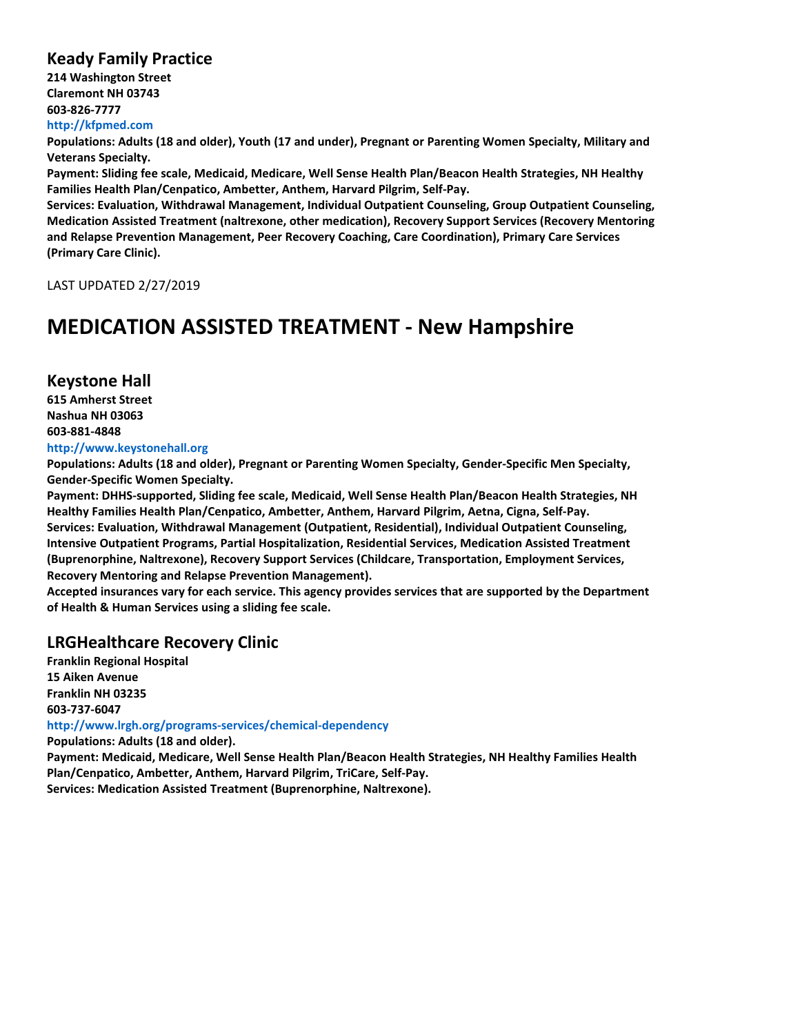#### **Keady Family Practice**

**214 Washington Street Claremont NH 03743 603-826-7777 http://kfpmed.com**

**Populations: Adults (18 and older), Youth (17 and under), Pregnant or Parenting Women Specialty, Military and Veterans Specialty.**

**Payment: Sliding fee scale, Medicaid, Medicare, Well Sense Health Plan/Beacon Health Strategies, NH Healthy Families Health Plan/Cenpatico, Ambetter, Anthem, Harvard Pilgrim, Self-Pay.**

**Services: Evaluation, Withdrawal Management, Individual Outpatient Counseling, Group Outpatient Counseling, Medication Assisted Treatment (naltrexone, other medication), Recovery Support Services (Recovery Mentoring and Relapse Prevention Management, Peer Recovery Coaching, Care Coordination), Primary Care Services (Primary Care Clinic).**

LAST UPDATED 2/27/2019

### **MEDICATION ASSISTED TREATMENT - New Hampshire**

#### **Keystone Hall**

**615 Amherst Street Nashua NH 03063 603-881-4848**

#### **http://www.keystonehall.org**

**Populations: Adults (18 and older), Pregnant or Parenting Women Specialty, Gender-Specific Men Specialty, Gender-Specific Women Specialty.**

**Payment: DHHS-supported, Sliding fee scale, Medicaid, Well Sense Health Plan/Beacon Health Strategies, NH Healthy Families Health Plan/Cenpatico, Ambetter, Anthem, Harvard Pilgrim, Aetna, Cigna, Self-Pay. Services: Evaluation, Withdrawal Management (Outpatient, Residential), Individual Outpatient Counseling, Intensive Outpatient Programs, Partial Hospitalization, Residential Services, Medication Assisted Treatment (Buprenorphine, Naltrexone), Recovery Support Services (Childcare, Transportation, Employment Services, Recovery Mentoring and Relapse Prevention Management).**

**Accepted insurances vary for each service. This agency provides services that are supported by the Department of Health & Human Services using a sliding fee scale.**

#### **LRGHealthcare Recovery Clinic**

**Franklin Regional Hospital 15 Aiken Avenue Franklin NH 03235 603-737-6047**

**http://www.lrgh.org/programs-services/chemical-dependency**

**Populations: Adults (18 and older).**

**Payment: Medicaid, Medicare, Well Sense Health Plan/Beacon Health Strategies, NH Healthy Families Health Plan/Cenpatico, Ambetter, Anthem, Harvard Pilgrim, TriCare, Self-Pay.**

**Services: Medication Assisted Treatment (Buprenorphine, Naltrexone).**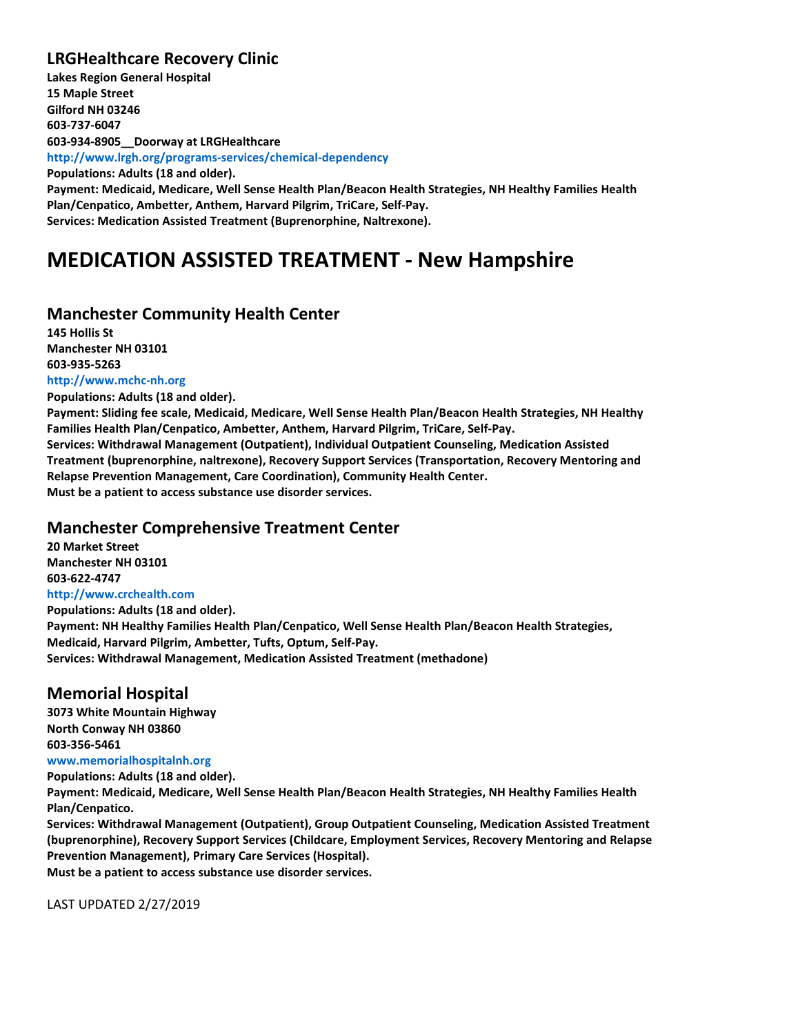### **LRGHealthcare Recovery Clinic**

**Lakes Region General Hospital 15 Maple Street Gilford NH 03246 603-737-6047 603-934-8905\_\_Doorway at LRGHealthcare http://www.lrgh.org/programs-services/chemical-dependency Populations: Adults (18 and older). Payment: Medicaid, Medicare, Well Sense Health Plan/Beacon Health Strategies, NH Healthy Families Health Plan/Cenpatico, Ambetter, Anthem, Harvard Pilgrim, TriCare, Self-Pay. Services: Medication Assisted Treatment (Buprenorphine, Naltrexone).**

## **MEDICATION ASSISTED TREATMENT - New Hampshire**

#### **Manchester Community Health Center**

**145 Hollis St Manchester NH 03101 603-935-5263 http://www.mchc-nh.org**

**Populations: Adults (18 and older).**

**Payment: Sliding fee scale, Medicaid, Medicare, Well Sense Health Plan/Beacon Health Strategies, NH Healthy Families Health Plan/Cenpatico, Ambetter, Anthem, Harvard Pilgrim, TriCare, Self-Pay. Services: Withdrawal Management (Outpatient), Individual Outpatient Counseling, Medication Assisted Treatment (buprenorphine, naltrexone), Recovery Support Services (Transportation, Recovery Mentoring and Relapse Prevention Management, Care Coordination), Community Health Center. Must be a patient to access substance use disorder services.**

#### **Manchester Comprehensive Treatment Center**

**20 Market Street Manchester NH 03101 603-622-4747 http://www.crchealth.com Populations: Adults (18 and older). Payment: NH Healthy Families Health Plan/Cenpatico, Well Sense Health Plan/Beacon Health Strategies, Medicaid, Harvard Pilgrim, Ambetter, Tufts, Optum, Self-Pay. Services: Withdrawal Management, Medication Assisted Treatment (methadone)**

#### **Memorial Hospital**

**3073 White Mountain Highway North Conway NH 03860 603-356-5461 www.memorialhospitalnh.org Populations: Adults (18 and older).**

**Payment: Medicaid, Medicare, Well Sense Health Plan/Beacon Health Strategies, NH Healthy Families Health Plan/Cenpatico.**

**Services: Withdrawal Management (Outpatient), Group Outpatient Counseling, Medication Assisted Treatment (buprenorphine), Recovery Support Services (Childcare, Employment Services, Recovery Mentoring and Relapse Prevention Management), Primary Care Services (Hospital). Must be a patient to access substance use disorder services.**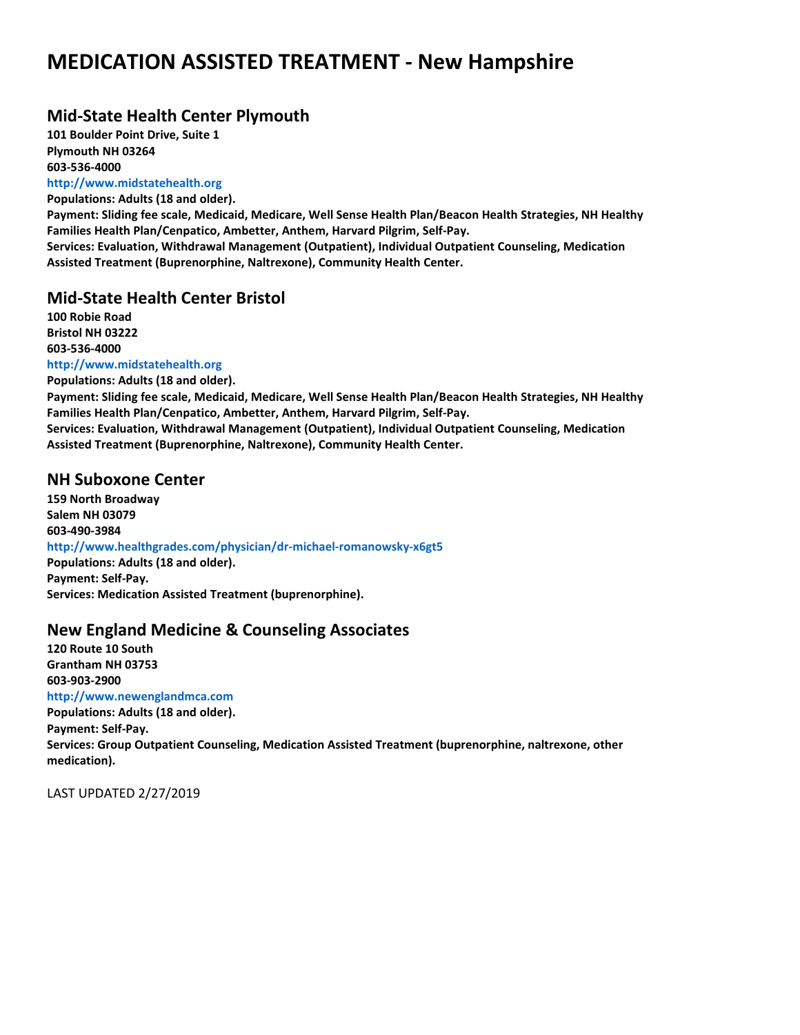### **Mid-State Health Center Plymouth**

**101 Boulder Point Drive, Suite 1 Plymouth NH 03264 603-536-4000**

**http://www.midstatehealth.org**

**Populations: Adults (18 and older). Payment: Sliding fee scale, Medicaid, Medicare, Well Sense Health Plan/Beacon Health Strategies, NH Healthy Families Health Plan/Cenpatico, Ambetter, Anthem, Harvard Pilgrim, Self-Pay. Services: Evaluation, Withdrawal Management (Outpatient), Individual Outpatient Counseling, Medication Assisted Treatment (Buprenorphine, Naltrexone), Community Health Center.**

#### **Mid-State Health Center Bristol**

**100 Robie Road Bristol NH 03222 603-536-4000 http://www.midstatehealth.org**

**Populations: Adults (18 and older). Payment: Sliding fee scale, Medicaid, Medicare, Well Sense Health Plan/Beacon Health Strategies, NH Healthy Families Health Plan/Cenpatico, Ambetter, Anthem, Harvard Pilgrim, Self-Pay. Services: Evaluation, Withdrawal Management (Outpatient), Individual Outpatient Counseling, Medication Assisted Treatment (Buprenorphine, Naltrexone), Community Health Center.**

#### **NH Suboxone Center**

**159 North Broadway Salem NH 03079 603-490-3984 http://www.healthgrades.com/physician/dr-michael-romanowsky-x6gt5 Populations: Adults (18 and older). Payment: Self-Pay. Services: Medication Assisted Treatment (buprenorphine).**

#### **New England Medicine & Counseling Associates**

**120 Route 10 South Grantham NH 03753 603-903-2900 http://www.newenglandmca.com**

**Populations: Adults (18 and older). Payment: Self-Pay. Services: Group Outpatient Counseling, Medication Assisted Treatment (buprenorphine, naltrexone, other medication).**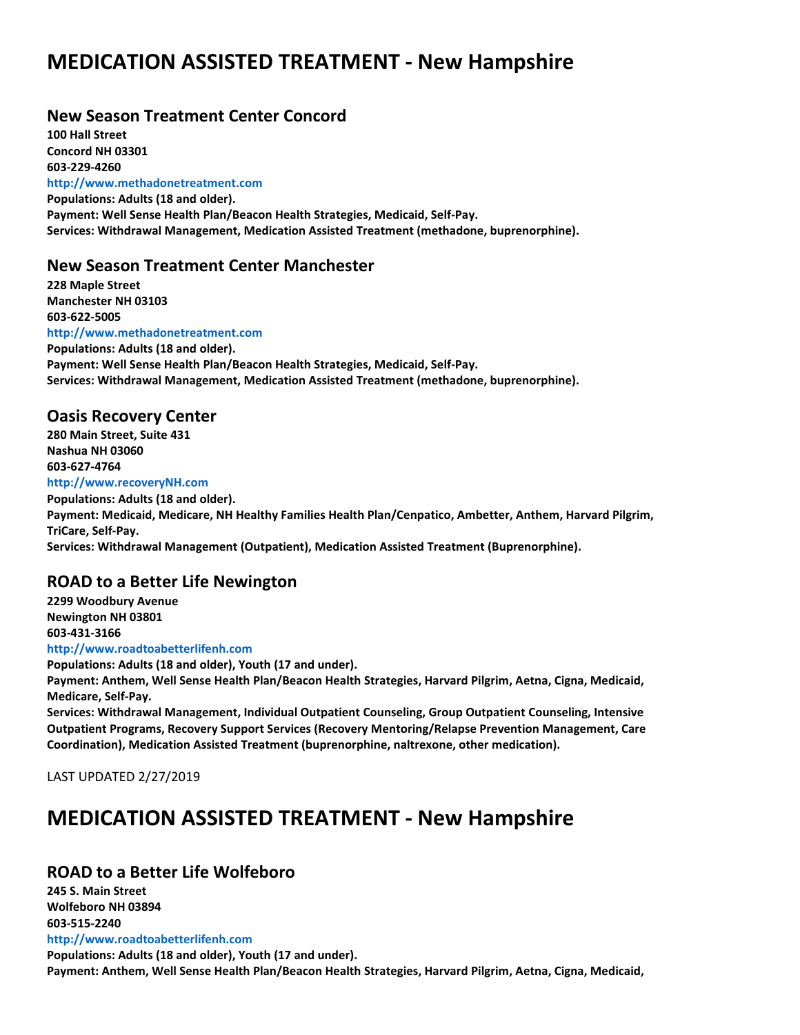#### **New Season Treatment Center Concord**

**100 Hall Street Concord NH 03301 603-229-4260 http://www.methadonetreatment.com Populations: Adults (18 and older). Payment: Well Sense Health Plan/Beacon Health Strategies, Medicaid, Self-Pay. Services: Withdrawal Management, Medication Assisted Treatment (methadone, buprenorphine).**

#### **New Season Treatment Center Manchester**

**228 Maple Street Manchester NH 03103 603-622-5005 http://www.methadonetreatment.com Populations: Adults (18 and older). Payment: Well Sense Health Plan/Beacon Health Strategies, Medicaid, Self-Pay. Services: Withdrawal Management, Medication Assisted Treatment (methadone, buprenorphine).**

#### **Oasis Recovery Center**

**280 Main Street, Suite 431 Nashua NH 03060 603-627-4764 http://www.recoveryNH.com**

**Populations: Adults (18 and older). Payment: Medicaid, Medicare, NH Healthy Families Health Plan/Cenpatico, Ambetter, Anthem, Harvard Pilgrim, TriCare, Self-Pay. Services: Withdrawal Management (Outpatient), Medication Assisted Treatment (Buprenorphine).**

#### **ROAD to a Better Life Newington**

**2299 Woodbury Avenue Newington NH 03801 603-431-3166 http://www.roadtoabetterlifenh.com**

**Populations: Adults (18 and older), Youth (17 and under). Payment: Anthem, Well Sense Health Plan/Beacon Health Strategies, Harvard Pilgrim, Aetna, Cigna, Medicaid, Medicare, Self-Pay.**

**Services: Withdrawal Management, Individual Outpatient Counseling, Group Outpatient Counseling, Intensive Outpatient Programs, Recovery Support Services (Recovery Mentoring/Relapse Prevention Management, Care Coordination), Medication Assisted Treatment (buprenorphine, naltrexone, other medication).**

LAST UPDATED 2/27/2019

## **MEDICATION ASSISTED TREATMENT - New Hampshire**

#### **ROAD to a Better Life Wolfeboro**

**245 S. Main Street Wolfeboro NH 03894 603-515-2240**

**http://www.roadtoabetterlifenh.com**

**Populations: Adults (18 and older), Youth (17 and under). Payment: Anthem, Well Sense Health Plan/Beacon Health Strategies, Harvard Pilgrim, Aetna, Cigna, Medicaid,**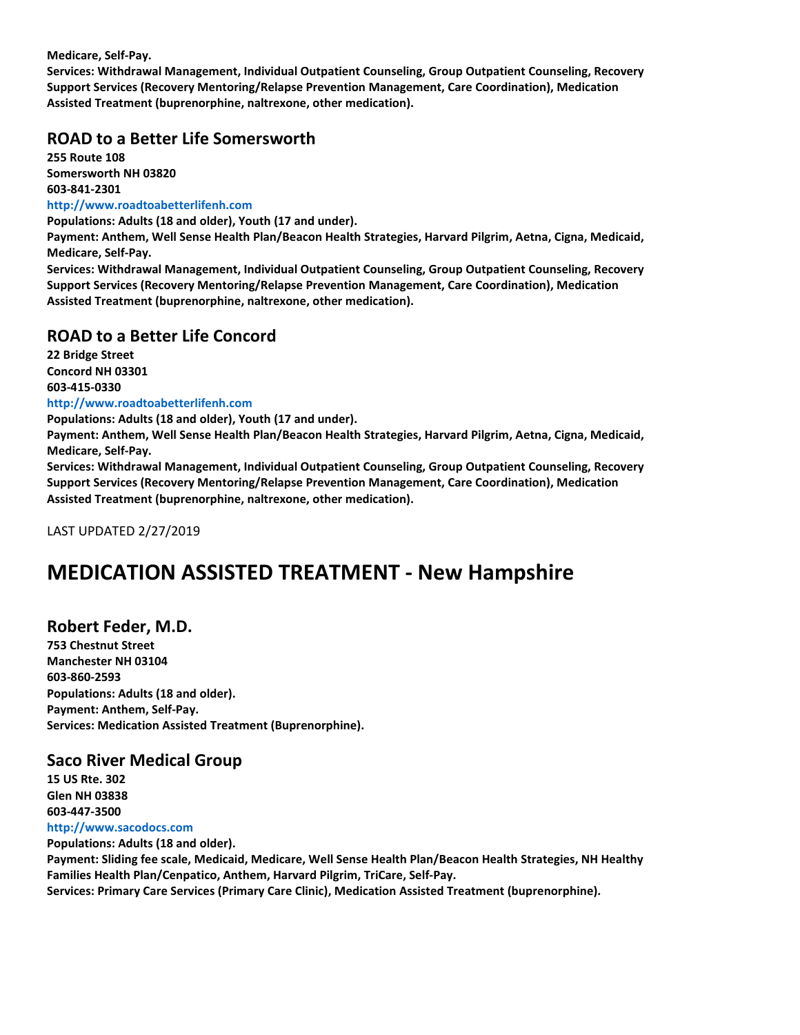**Medicare, Self-Pay.**

**Services: Withdrawal Management, Individual Outpatient Counseling, Group Outpatient Counseling, Recovery Support Services (Recovery Mentoring/Relapse Prevention Management, Care Coordination), Medication Assisted Treatment (buprenorphine, naltrexone, other medication).**

#### **ROAD to a Better Life Somersworth**

**255 Route 108 Somersworth NH 03820 603-841-2301**

#### **http://www.roadtoabetterlifenh.com**

**Populations: Adults (18 and older), Youth (17 and under).**

**Payment: Anthem, Well Sense Health Plan/Beacon Health Strategies, Harvard Pilgrim, Aetna, Cigna, Medicaid, Medicare, Self-Pay.**

**Services: Withdrawal Management, Individual Outpatient Counseling, Group Outpatient Counseling, Recovery Support Services (Recovery Mentoring/Relapse Prevention Management, Care Coordination), Medication Assisted Treatment (buprenorphine, naltrexone, other medication).**

#### **ROAD to a Better Life Concord**

**22 Bridge Street Concord NH 03301 603-415-0330**

#### **http://www.roadtoabetterlifenh.com**

**Populations: Adults (18 and older), Youth (17 and under).**

**Payment: Anthem, Well Sense Health Plan/Beacon Health Strategies, Harvard Pilgrim, Aetna, Cigna, Medicaid, Medicare, Self-Pay.**

**Services: Withdrawal Management, Individual Outpatient Counseling, Group Outpatient Counseling, Recovery Support Services (Recovery Mentoring/Relapse Prevention Management, Care Coordination), Medication Assisted Treatment (buprenorphine, naltrexone, other medication).**

LAST UPDATED 2/27/2019

### **MEDICATION ASSISTED TREATMENT - New Hampshire**

#### **Robert Feder, M.D.**

**753 Chestnut Street Manchester NH 03104 603-860-2593 Populations: Adults (18 and older). Payment: Anthem, Self-Pay. Services: Medication Assisted Treatment (Buprenorphine).**

#### **Saco River Medical Group**

**15 US Rte. 302 Glen NH 03838 603-447-3500**

**http://www.sacodocs.com Populations: Adults (18 and older).**

**Payment: Sliding fee scale, Medicaid, Medicare, Well Sense Health Plan/Beacon Health Strategies, NH Healthy Families Health Plan/Cenpatico, Anthem, Harvard Pilgrim, TriCare, Self-Pay.**

**Services: Primary Care Services (Primary Care Clinic), Medication Assisted Treatment (buprenorphine).**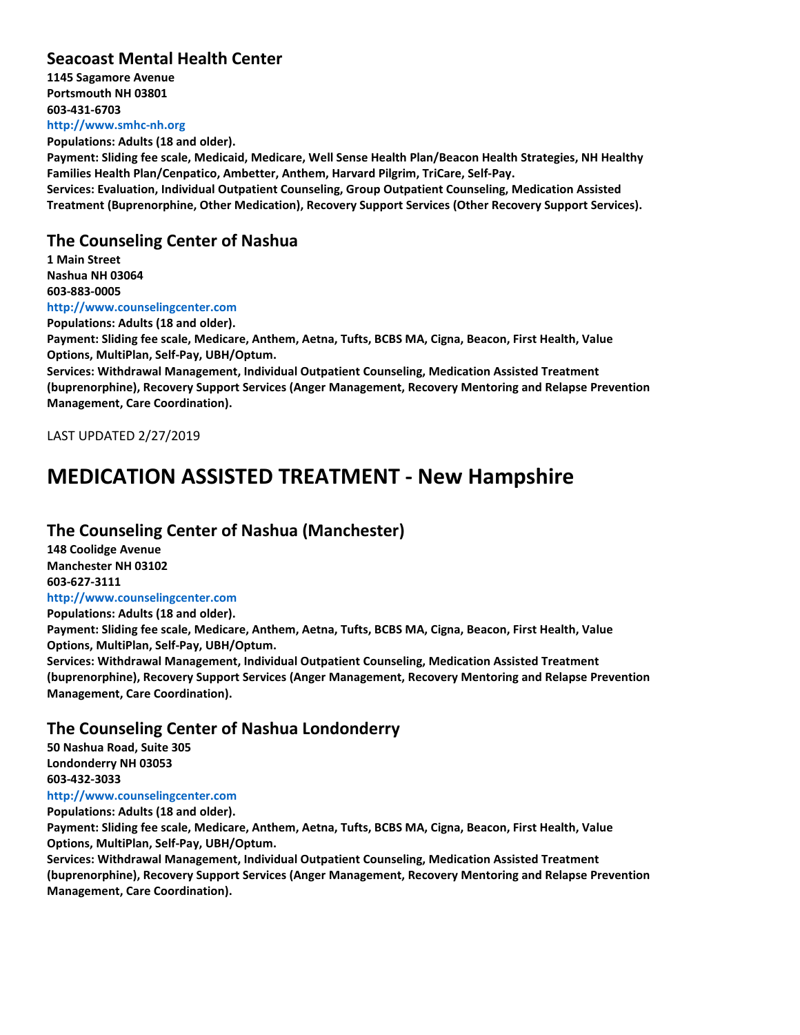#### **Seacoast Mental Health Center**

**1145 Sagamore Avenue Portsmouth NH 03801 603-431-6703 http://www.smhc-nh.org**

**Populations: Adults (18 and older).**

**Payment: Sliding fee scale, Medicaid, Medicare, Well Sense Health Plan/Beacon Health Strategies, NH Healthy Families Health Plan/Cenpatico, Ambetter, Anthem, Harvard Pilgrim, TriCare, Self-Pay.**

**Services: Evaluation, Individual Outpatient Counseling, Group Outpatient Counseling, Medication Assisted Treatment (Buprenorphine, Other Medication), Recovery Support Services (Other Recovery Support Services).**

#### **The Counseling Center of Nashua**

**1 Main Street Nashua NH 03064 603-883-0005 http://www.counselingcenter.com**

**Populations: Adults (18 and older).**

**Payment: Sliding fee scale, Medicare, Anthem, Aetna, Tufts, BCBS MA, Cigna, Beacon, First Health, Value Options, MultiPlan, Self-Pay, UBH/Optum.**

**Services: Withdrawal Management, Individual Outpatient Counseling, Medication Assisted Treatment (buprenorphine), Recovery Support Services (Anger Management, Recovery Mentoring and Relapse Prevention Management, Care Coordination).**

LAST UPDATED 2/27/2019

### **MEDICATION ASSISTED TREATMENT - New Hampshire**

#### **The Counseling Center of Nashua (Manchester)**

**148 Coolidge Avenue Manchester NH 03102 603-627-3111 http://www.counselingcenter.com**

**Populations: Adults (18 and older).**

**Payment: Sliding fee scale, Medicare, Anthem, Aetna, Tufts, BCBS MA, Cigna, Beacon, First Health, Value Options, MultiPlan, Self-Pay, UBH/Optum.**

**Services: Withdrawal Management, Individual Outpatient Counseling, Medication Assisted Treatment (buprenorphine), Recovery Support Services (Anger Management, Recovery Mentoring and Relapse Prevention Management, Care Coordination).**

#### **The Counseling Center of Nashua Londonderry**

**50 Nashua Road, Suite 305 Londonderry NH 03053 603-432-3033 http://www.counselingcenter.com Populations: Adults (18 and older).**

**Payment: Sliding fee scale, Medicare, Anthem, Aetna, Tufts, BCBS MA, Cigna, Beacon, First Health, Value Options, MultiPlan, Self-Pay, UBH/Optum.**

**Services: Withdrawal Management, Individual Outpatient Counseling, Medication Assisted Treatment (buprenorphine), Recovery Support Services (Anger Management, Recovery Mentoring and Relapse Prevention Management, Care Coordination).**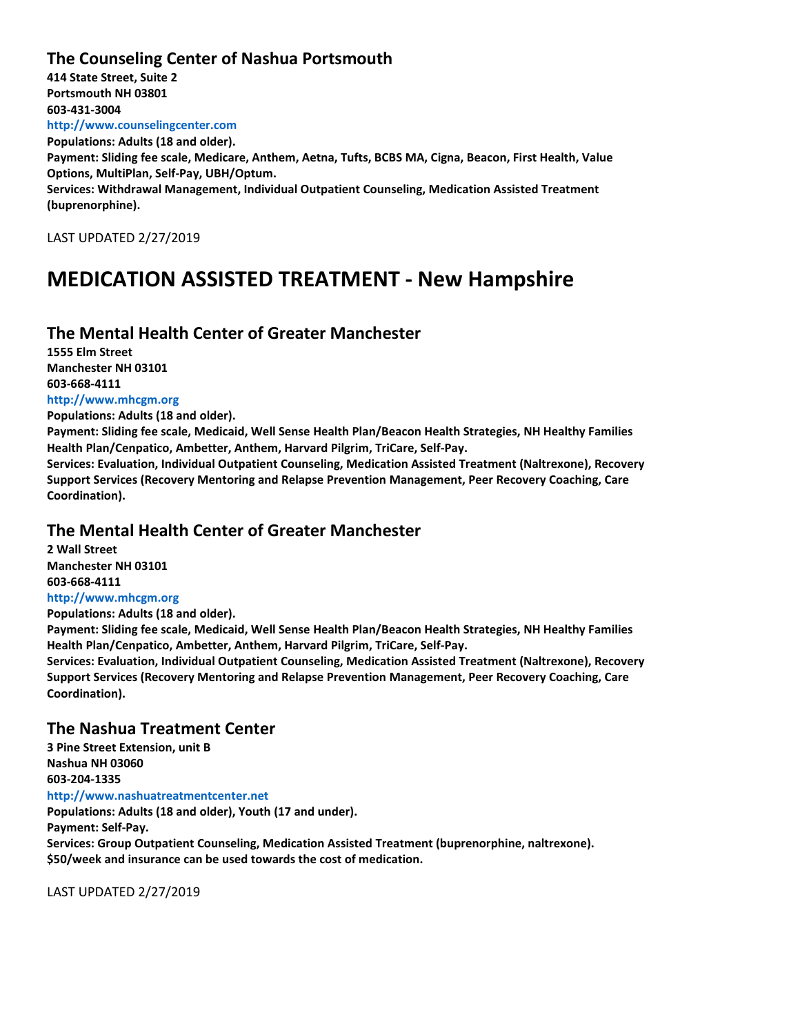#### **The Counseling Center of Nashua Portsmouth**

**414 State Street, Suite 2 Portsmouth NH 03801 603-431-3004 http://www.counselingcenter.com Populations: Adults (18 and older). Payment: Sliding fee scale, Medicare, Anthem, Aetna, Tufts, BCBS MA, Cigna, Beacon, First Health, Value Options, MultiPlan, Self-Pay, UBH/Optum. Services: Withdrawal Management, Individual Outpatient Counseling, Medication Assisted Treatment (buprenorphine).**

LAST UPDATED 2/27/2019

### **MEDICATION ASSISTED TREATMENT - New Hampshire**

#### **The Mental Health Center of Greater Manchester**

**1555 Elm Street Manchester NH 03101 603-668-4111 http://www.mhcgm.org**

**Populations: Adults (18 and older).**

**Payment: Sliding fee scale, Medicaid, Well Sense Health Plan/Beacon Health Strategies, NH Healthy Families Health Plan/Cenpatico, Ambetter, Anthem, Harvard Pilgrim, TriCare, Self-Pay.**

**Services: Evaluation, Individual Outpatient Counseling, Medication Assisted Treatment (Naltrexone), Recovery Support Services (Recovery Mentoring and Relapse Prevention Management, Peer Recovery Coaching, Care Coordination).**

#### **The Mental Health Center of Greater Manchester**

**2 Wall Street Manchester NH 03101 603-668-4111 http://www.mhcgm.org Populations: Adults (18 and older).**

**Payment: Sliding fee scale, Medicaid, Well Sense Health Plan/Beacon Health Strategies, NH Healthy Families Health Plan/Cenpatico, Ambetter, Anthem, Harvard Pilgrim, TriCare, Self-Pay.**

**Services: Evaluation, Individual Outpatient Counseling, Medication Assisted Treatment (Naltrexone), Recovery Support Services (Recovery Mentoring and Relapse Prevention Management, Peer Recovery Coaching, Care Coordination).**

#### **The Nashua Treatment Center**

**3 Pine Street Extension, unit B Nashua NH 03060 603-204-1335 http://www.nashuatreatmentcenter.net Populations: Adults (18 and older), Youth (17 and under). Payment: Self-Pay. Services: Group Outpatient Counseling, Medication Assisted Treatment (buprenorphine, naltrexone).**

**\$50/week and insurance can be used towards the cost of medication.**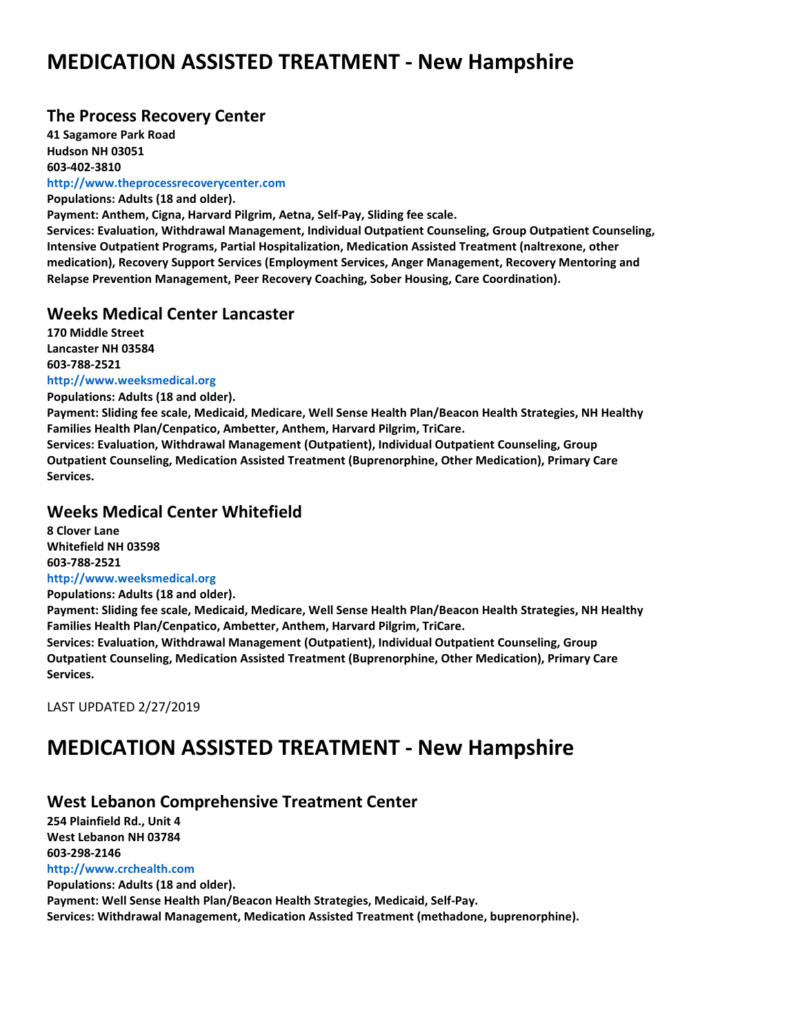#### **The Process Recovery Center**

**41 Sagamore Park Road Hudson NH 03051 603-402-3810**

**http://www.theprocessrecoverycenter.com**

**Populations: Adults (18 and older).**

**Payment: Anthem, Cigna, Harvard Pilgrim, Aetna, Self-Pay, Sliding fee scale.**

**Services: Evaluation, Withdrawal Management, Individual Outpatient Counseling, Group Outpatient Counseling, Intensive Outpatient Programs, Partial Hospitalization, Medication Assisted Treatment (naltrexone, other medication), Recovery Support Services (Employment Services, Anger Management, Recovery Mentoring and Relapse Prevention Management, Peer Recovery Coaching, Sober Housing, Care Coordination).**

#### **Weeks Medical Center Lancaster**

**170 Middle Street Lancaster NH 03584 603-788-2521**

#### **http://www.weeksmedical.org**

**Populations: Adults (18 and older). Payment: Sliding fee scale, Medicaid, Medicare, Well Sense Health Plan/Beacon Health Strategies, NH Healthy Families Health Plan/Cenpatico, Ambetter, Anthem, Harvard Pilgrim, TriCare. Services: Evaluation, Withdrawal Management (Outpatient), Individual Outpatient Counseling, Group Outpatient Counseling, Medication Assisted Treatment (Buprenorphine, Other Medication), Primary Care Services.**

#### **Weeks Medical Center Whitefield**

**8 Clover Lane Whitefield NH 03598 603-788-2521 http://www.weeksmedical.org**

**Populations: Adults (18 and older).**

**Payment: Sliding fee scale, Medicaid, Medicare, Well Sense Health Plan/Beacon Health Strategies, NH Healthy Families Health Plan/Cenpatico, Ambetter, Anthem, Harvard Pilgrim, TriCare.**

**Services: Evaluation, Withdrawal Management (Outpatient), Individual Outpatient Counseling, Group Outpatient Counseling, Medication Assisted Treatment (Buprenorphine, Other Medication), Primary Care Services.**

LAST UPDATED 2/27/2019

## **MEDICATION ASSISTED TREATMENT - New Hampshire**

#### **West Lebanon Comprehensive Treatment Center**

**254 Plainfield Rd., Unit 4 West Lebanon NH 03784 603-298-2146 http://www.crchealth.com**

**Populations: Adults (18 and older). Payment: Well Sense Health Plan/Beacon Health Strategies, Medicaid, Self-Pay. Services: Withdrawal Management, Medication Assisted Treatment (methadone, buprenorphine).**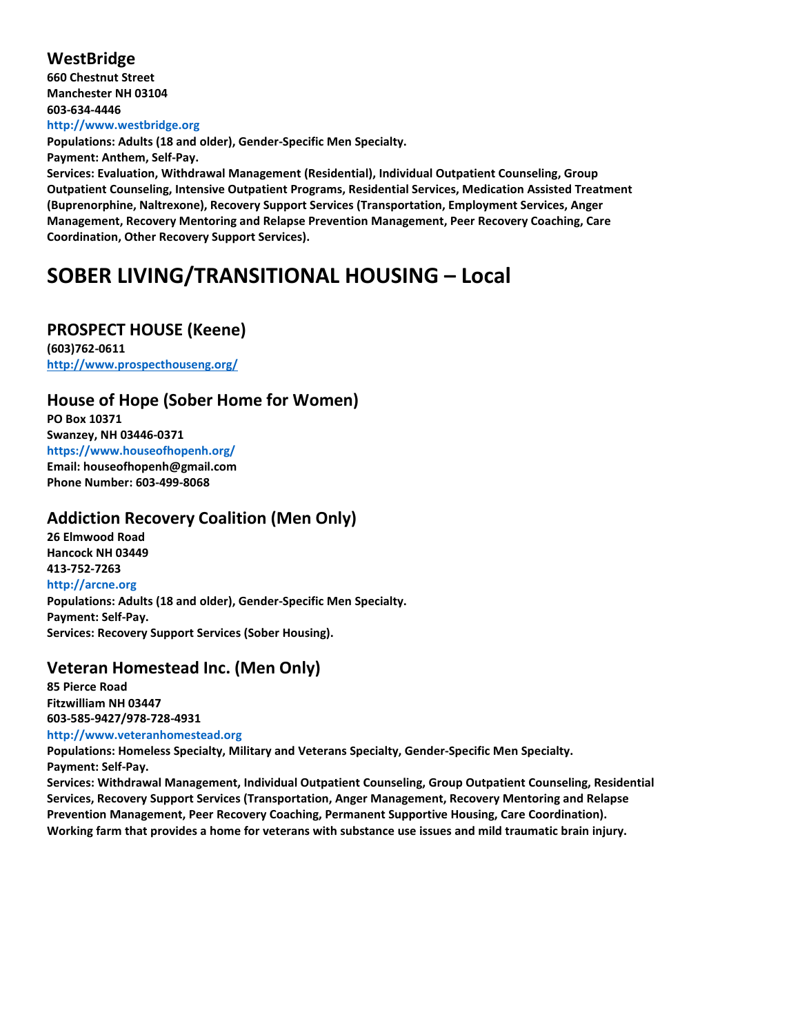#### **WestBridge**

**660 Chestnut Street Manchester NH 03104 603-634-4446 http://www.westbridge.org**

**Populations: Adults (18 and older), Gender-Specific Men Specialty.**

**Payment: Anthem, Self-Pay.**

**Services: Evaluation, Withdrawal Management (Residential), Individual Outpatient Counseling, Group Outpatient Counseling, Intensive Outpatient Programs, Residential Services, Medication Assisted Treatment (Buprenorphine, Naltrexone), Recovery Support Services (Transportation, Employment Services, Anger Management, Recovery Mentoring and Relapse Prevention Management, Peer Recovery Coaching, Care Coordination, Other Recovery Support Services).**

## **SOBER LIVING/TRANSITIONAL HOUSING – Local**

#### **PROSPECT HOUSE (Keene)**

**(603)762-0611 <http://www.prospecthouseng.org/>**

#### **House of Hope (Sober Home for Women)**

**PO Box 10371 Swanzey, NH 03446-0371 https://www.houseofhopenh.org/ Email: houseofhopenh@gmail.com Phone Number: 603-499-8068**

#### **Addiction Recovery Coalition (Men Only)**

**26 Elmwood Road Hancock NH 03449 413-752-7263 http://arcne.org Populations: Adults (18 and older), Gender-Specific Men Specialty. Payment: Self-Pay. Services: Recovery Support Services (Sober Housing).**

### **Veteran Homestead Inc. (Men Only)**

**85 Pierce Road Fitzwilliam NH 03447 603-585-9427/978-728-4931 http://www.veteranhomestead.org**

**Populations: Homeless Specialty, Military and Veterans Specialty, Gender-Specific Men Specialty. Payment: Self-Pay.**

**Services: Withdrawal Management, Individual Outpatient Counseling, Group Outpatient Counseling, Residential Services, Recovery Support Services (Transportation, Anger Management, Recovery Mentoring and Relapse Prevention Management, Peer Recovery Coaching, Permanent Supportive Housing, Care Coordination). Working farm that provides a home for veterans with substance use issues and mild traumatic brain injury.**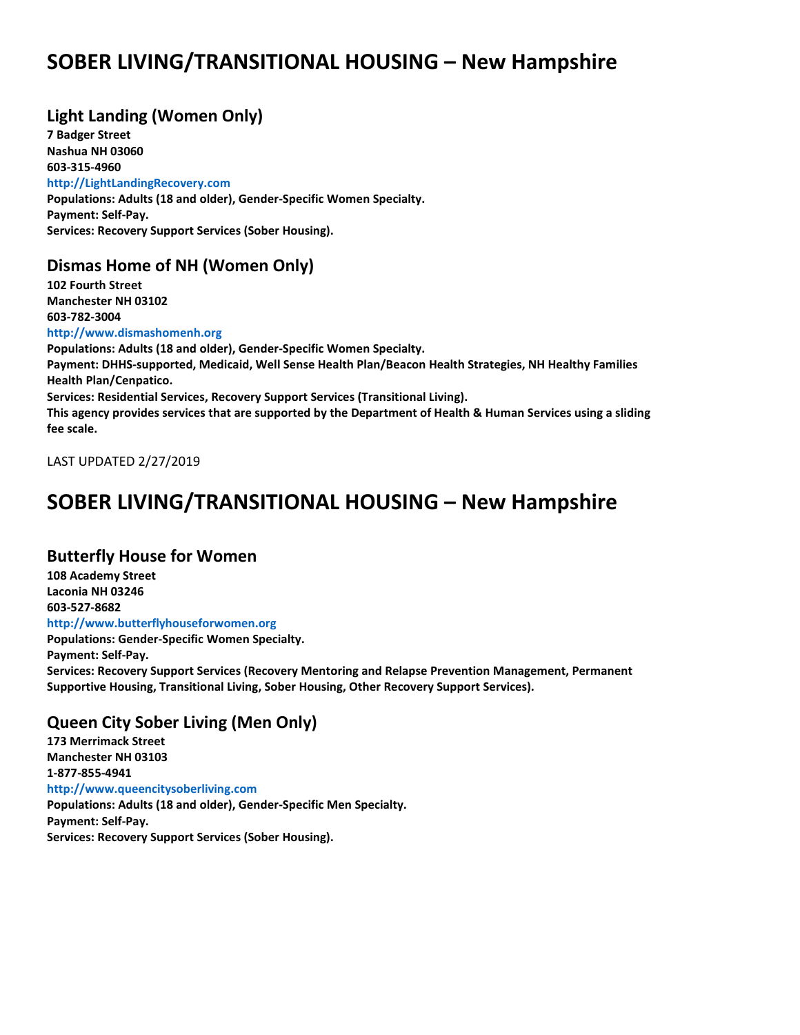## **SOBER LIVING/TRANSITIONAL HOUSING – New Hampshire**

### **Light Landing (Women Only)**

**7 Badger Street Nashua NH 03060 603-315-4960 http://LightLandingRecovery.com Populations: Adults (18 and older), Gender-Specific Women Specialty. Payment: Self-Pay. Services: Recovery Support Services (Sober Housing).**

#### **Dismas Home of NH (Women Only)**

**102 Fourth Street Manchester NH 03102 603-782-3004**

**http://www.dismashomenh.org**

**Populations: Adults (18 and older), Gender-Specific Women Specialty. Payment: DHHS-supported, Medicaid, Well Sense Health Plan/Beacon Health Strategies, NH Healthy Families Health Plan/Cenpatico. Services: Residential Services, Recovery Support Services (Transitional Living). This agency provides services that are supported by the Department of Health & Human Services using a sliding fee scale.**

LAST UPDATED 2/27/2019

## **SOBER LIVING/TRANSITIONAL HOUSING – New Hampshire**

#### **Butterfly House for Women**

**108 Academy Street Laconia NH 03246 603-527-8682 http://www.butterflyhouseforwomen.org**

**Populations: Gender-Specific Women Specialty.**

**Payment: Self-Pay. Services: Recovery Support Services (Recovery Mentoring and Relapse Prevention Management, Permanent Supportive Housing, Transitional Living, Sober Housing, Other Recovery Support Services).**

### **Queen City Sober Living (Men Only)**

**173 Merrimack Street Manchester NH 03103 1-877-855-4941 http://www.queencitysoberliving.com Populations: Adults (18 and older), Gender-Specific Men Specialty. Payment: Self-Pay. Services: Recovery Support Services (Sober Housing).**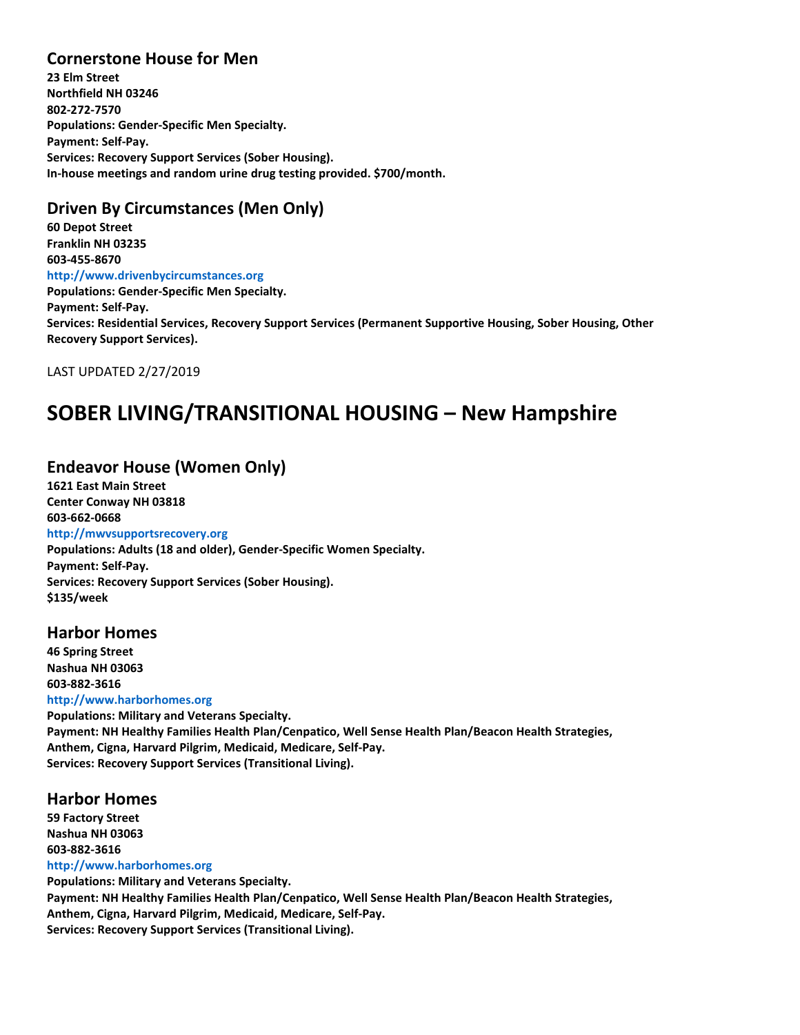#### **Cornerstone House for Men**

**23 Elm Street Northfield NH 03246 802-272-7570 Populations: Gender-Specific Men Specialty. Payment: Self-Pay. Services: Recovery Support Services (Sober Housing). In-house meetings and random urine drug testing provided. \$700/month.**

### **Driven By Circumstances (Men Only)**

**60 Depot Street Franklin NH 03235 603-455-8670 http://www.drivenbycircumstances.org Populations: Gender-Specific Men Specialty. Payment: Self-Pay. Services: Residential Services, Recovery Support Services (Permanent Supportive Housing, Sober Housing, Other Recovery Support Services).**

LAST UPDATED 2/27/2019

## **SOBER LIVING/TRANSITIONAL HOUSING – New Hampshire**

### **Endeavor House (Women Only)**

**1621 East Main Street Center Conway NH 03818 603-662-0668 http://mwvsupportsrecovery.org Populations: Adults (18 and older), Gender-Specific Women Specialty. Payment: Self-Pay. Services: Recovery Support Services (Sober Housing). \$135/week**

#### **Harbor Homes**

**46 Spring Street Nashua NH 03063 603-882-3616 http://www.harborhomes.org**

**Populations: Military and Veterans Specialty. Payment: NH Healthy Families Health Plan/Cenpatico, Well Sense Health Plan/Beacon Health Strategies, Anthem, Cigna, Harvard Pilgrim, Medicaid, Medicare, Self-Pay. Services: Recovery Support Services (Transitional Living).**

#### **Harbor Homes**

**59 Factory Street Nashua NH 03063 603-882-3616 http://www.harborhomes.org Populations: Military and Veterans Specialty. Payment: NH Healthy Families Health Plan/Cenpatico, Well Sense Health Plan/Beacon Health Strategies, Anthem, Cigna, Harvard Pilgrim, Medicaid, Medicare, Self-Pay.**

**Services: Recovery Support Services (Transitional Living).**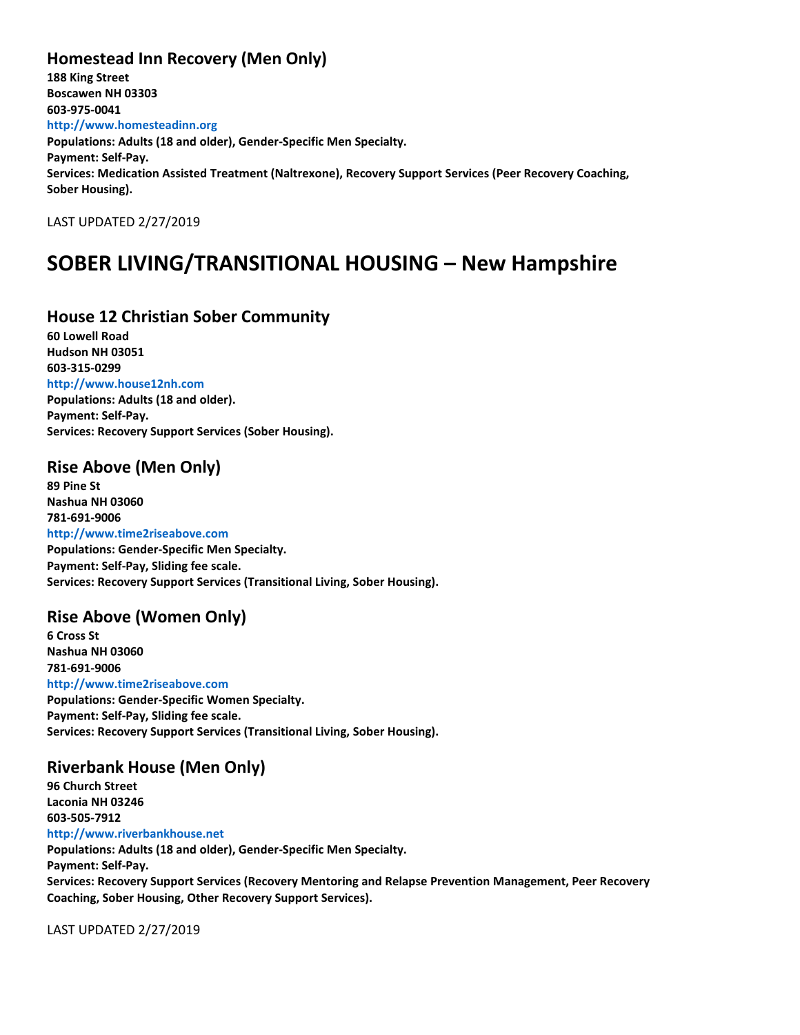### **Homestead Inn Recovery (Men Only)**

**188 King Street Boscawen NH 03303 603-975-0041 http://www.homesteadinn.org Populations: Adults (18 and older), Gender-Specific Men Specialty. Payment: Self-Pay. Services: Medication Assisted Treatment (Naltrexone), Recovery Support Services (Peer Recovery Coaching, Sober Housing).**

LAST UPDATED 2/27/2019

## **SOBER LIVING/TRANSITIONAL HOUSING – New Hampshire**

#### **House 12 Christian Sober Community**

**60 Lowell Road Hudson NH 03051 603-315-0299 http://www.house12nh.com Populations: Adults (18 and older). Payment: Self-Pay. Services: Recovery Support Services (Sober Housing).**

#### **Rise Above (Men Only)**

**89 Pine St Nashua NH 03060 781-691-9006 http://www.time2riseabove.com Populations: Gender-Specific Men Specialty. Payment: Self-Pay, Sliding fee scale. Services: Recovery Support Services (Transitional Living, Sober Housing).**

### **Rise Above (Women Only)**

**6 Cross St Nashua NH 03060 781-691-9006 http://www.time2riseabove.com Populations: Gender-Specific Women Specialty. Payment: Self-Pay, Sliding fee scale. Services: Recovery Support Services (Transitional Living, Sober Housing).**

#### **Riverbank House (Men Only)**

**96 Church Street Laconia NH 03246 603-505-7912 http://www.riverbankhouse.net Populations: Adults (18 and older), Gender-Specific Men Specialty. Payment: Self-Pay. Services: Recovery Support Services (Recovery Mentoring and Relapse Prevention Management, Peer Recovery Coaching, Sober Housing, Other Recovery Support Services).**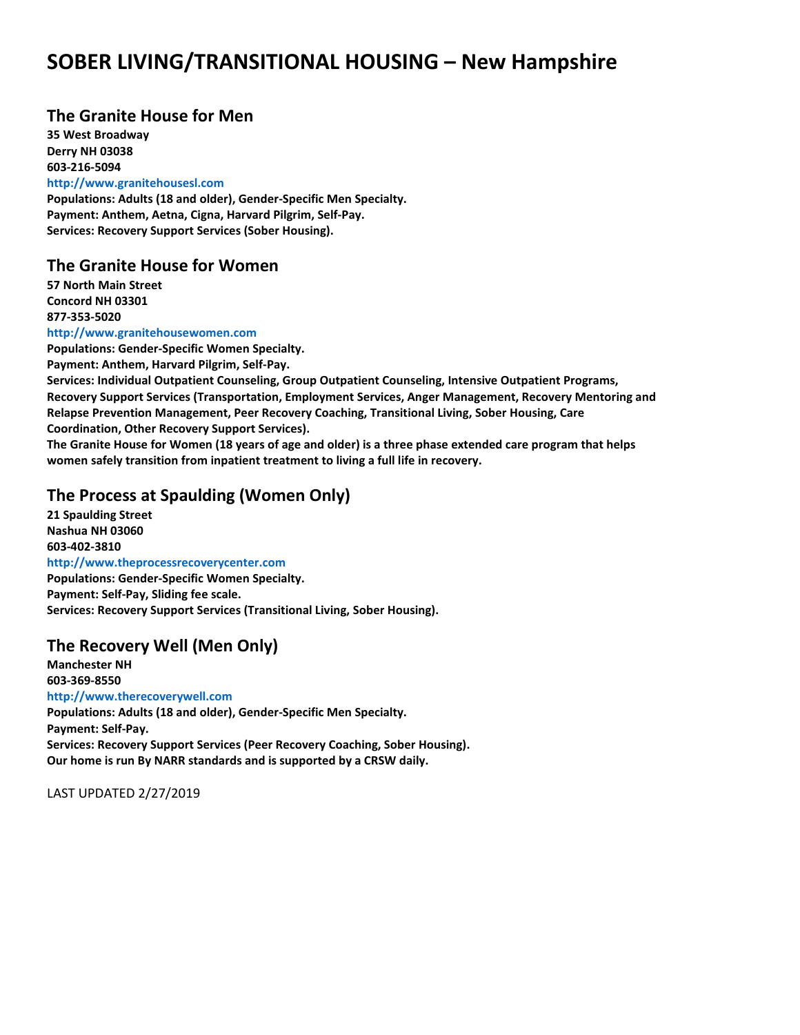## **SOBER LIVING/TRANSITIONAL HOUSING – New Hampshire**

#### **The Granite House for Men**

**35 West Broadway Derry NH 03038 603-216-5094 http://www.granitehousesl.com**

**Populations: Adults (18 and older), Gender-Specific Men Specialty. Payment: Anthem, Aetna, Cigna, Harvard Pilgrim, Self-Pay. Services: Recovery Support Services (Sober Housing).**

#### **The Granite House for Women**

**57 North Main Street Concord NH 03301 877-353-5020**

#### **http://www.granitehousewomen.com**

**Populations: Gender-Specific Women Specialty.**

**Payment: Anthem, Harvard Pilgrim, Self-Pay.**

**Services: Individual Outpatient Counseling, Group Outpatient Counseling, Intensive Outpatient Programs, Recovery Support Services (Transportation, Employment Services, Anger Management, Recovery Mentoring and Relapse Prevention Management, Peer Recovery Coaching, Transitional Living, Sober Housing, Care Coordination, Other Recovery Support Services).**

**The Granite House for Women (18 years of age and older) is a three phase extended care program that helps women safely transition from inpatient treatment to living a full life in recovery.**

#### **The Process at Spaulding (Women Only)**

**21 Spaulding Street Nashua NH 03060 603-402-3810 http://www.theprocessrecoverycenter.com Populations: Gender-Specific Women Specialty. Payment: Self-Pay, Sliding fee scale. Services: Recovery Support Services (Transitional Living, Sober Housing).**

#### **The Recovery Well (Men Only)**

**Manchester NH 603-369-8550 http://www.therecoverywell.com Populations: Adults (18 and older), Gender-Specific Men Specialty. Payment: Self-Pay. Services: Recovery Support Services (Peer Recovery Coaching, Sober Housing).**

**Our home is run By NARR standards and is supported by a CRSW daily.**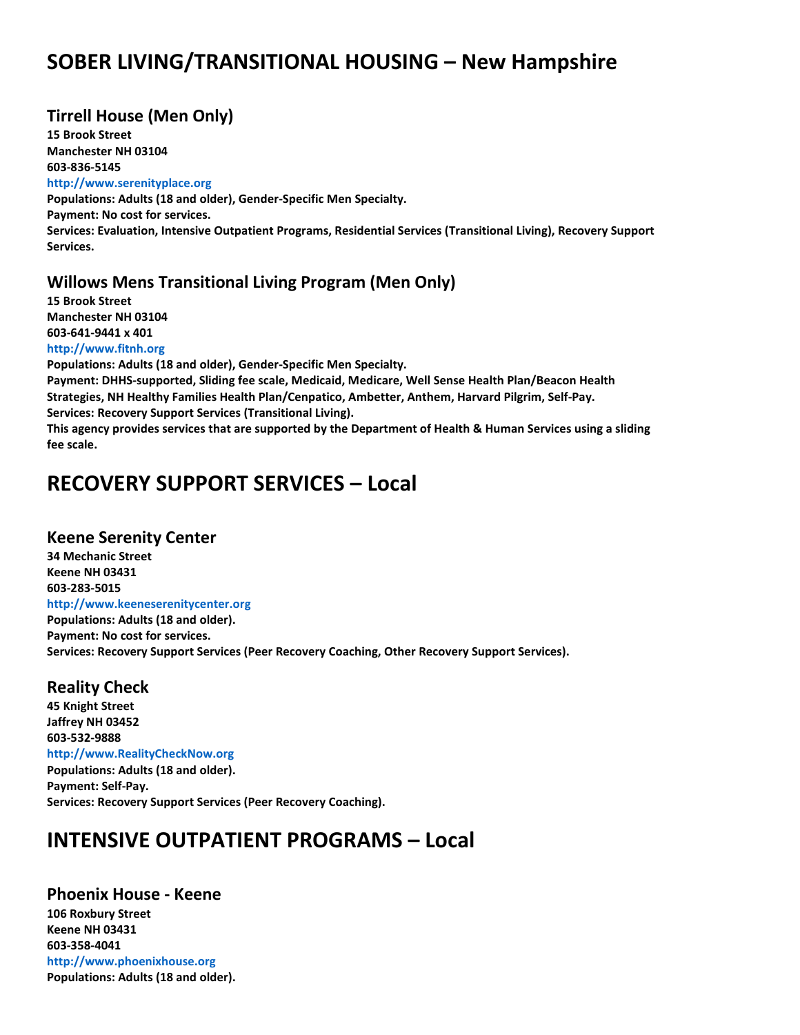## **SOBER LIVING/TRANSITIONAL HOUSING – New Hampshire**

### **Tirrell House (Men Only)**

**15 Brook Street Manchester NH 03104 603-836-5145 http://www.serenityplace.org Populations: Adults (18 and older), Gender-Specific Men Specialty. Payment: No cost for services. Services: Evaluation, Intensive Outpatient Programs, Residential Services (Transitional Living), Recovery Support Services.**

#### **Willows Mens Transitional Living Program (Men Only)**

**15 Brook Street Manchester NH 03104 603-641-9441 x 401 http://www.fitnh.org**

**Populations: Adults (18 and older), Gender-Specific Men Specialty. Payment: DHHS-supported, Sliding fee scale, Medicaid, Medicare, Well Sense Health Plan/Beacon Health Strategies, NH Healthy Families Health Plan/Cenpatico, Ambetter, Anthem, Harvard Pilgrim, Self-Pay. Services: Recovery Support Services (Transitional Living). This agency provides services that are supported by the Department of Health & Human Services using a sliding fee scale.**

### **RECOVERY SUPPORT SERVICES – Local**

#### **Keene Serenity Center**

**34 Mechanic Street Keene NH 03431 603-283-5015 http://www.keeneserenitycenter.org Populations: Adults (18 and older). Payment: No cost for services. Services: Recovery Support Services (Peer Recovery Coaching, Other Recovery Support Services).**

#### **Reality Check**

**45 Knight Street Jaffrey NH 03452 603-532-9888 http://www.RealityCheckNow.org Populations: Adults (18 and older). Payment: Self-Pay. Services: Recovery Support Services (Peer Recovery Coaching).**

### **INTENSIVE OUTPATIENT PROGRAMS – Local**

**Phoenix House - Keene 106 Roxbury Street Keene NH 03431 603-358-4041 http://www.phoenixhouse.org Populations: Adults (18 and older).**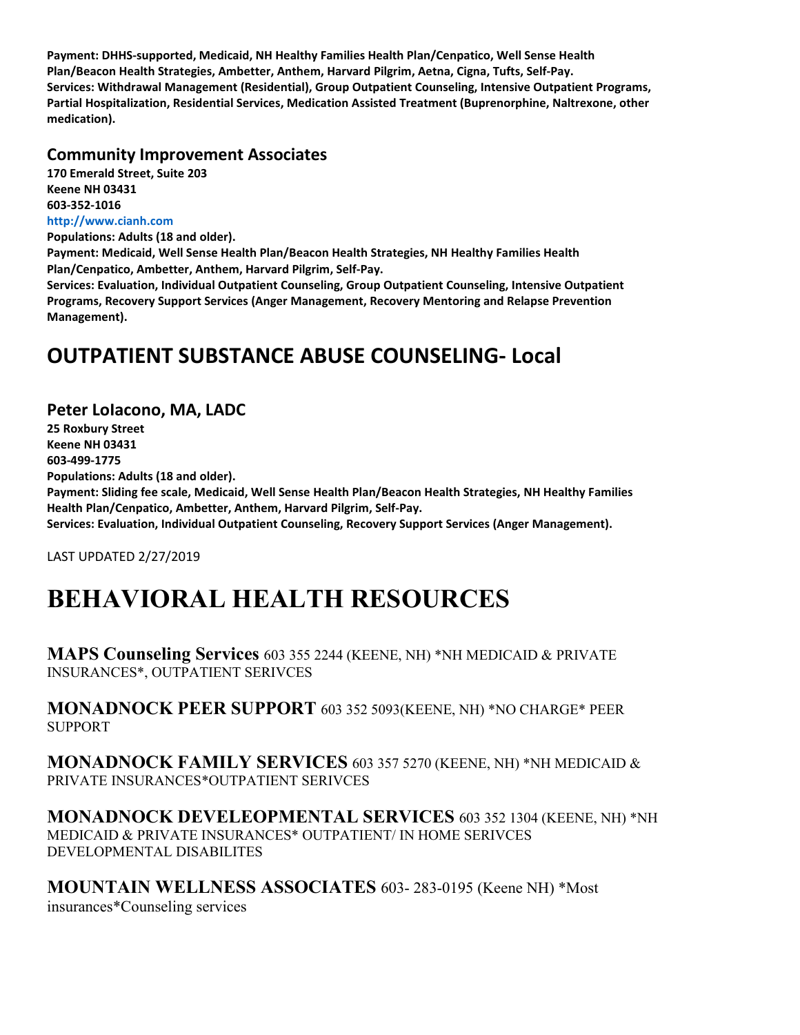**Payment: DHHS-supported, Medicaid, NH Healthy Families Health Plan/Cenpatico, Well Sense Health Plan/Beacon Health Strategies, Ambetter, Anthem, Harvard Pilgrim, Aetna, Cigna, Tufts, Self-Pay. Services: Withdrawal Management (Residential), Group Outpatient Counseling, Intensive Outpatient Programs, Partial Hospitalization, Residential Services, Medication Assisted Treatment (Buprenorphine, Naltrexone, other medication).**

#### **Community Improvement Associates**

**170 Emerald Street, Suite 203 Keene NH 03431 603-352-1016 http://www.cianh.com**

**Populations: Adults (18 and older).**

**Payment: Medicaid, Well Sense Health Plan/Beacon Health Strategies, NH Healthy Families Health Plan/Cenpatico, Ambetter, Anthem, Harvard Pilgrim, Self-Pay.**

**Services: Evaluation, Individual Outpatient Counseling, Group Outpatient Counseling, Intensive Outpatient Programs, Recovery Support Services (Anger Management, Recovery Mentoring and Relapse Prevention Management).**

### **OUTPATIENT SUBSTANCE ABUSE COUNSELING- Local**

#### **Peter LoIacono, MA, LADC**

**25 Roxbury Street Keene NH 03431 603-499-1775 Populations: Adults (18 and older). Payment: Sliding fee scale, Medicaid, Well Sense Health Plan/Beacon Health Strategies, NH Healthy Families Health Plan/Cenpatico, Ambetter, Anthem, Harvard Pilgrim, Self-Pay. Services: Evaluation, Individual Outpatient Counseling, Recovery Support Services (Anger Management).**

LAST UPDATED 2/27/2019

## **BEHAVIORAL HEALTH RESOURCES**

**MAPS Counseling Services** 603 355 2244 (KEENE, NH) \*NH MEDICAID & PRIVATE INSURANCES\*, OUTPATIENT SERIVCES

**MONADNOCK PEER SUPPORT** 603 352 5093(KEENE, NH) \*NO CHARGE\* PEER SUPPORT

**MONADNOCK FAMILY SERVICES** 603 357 5270 (KEENE, NH) \*NH MEDICAID & PRIVATE INSURANCES\*OUTPATIENT SERIVCES

**MONADNOCK DEVELEOPMENTAL SERVICES** 603 352 1304 (KEENE, NH) \*NH MEDICAID & PRIVATE INSURANCES\* OUTPATIENT/ IN HOME SERIVCES DEVELOPMENTAL DISABILITES

**MOUNTAIN WELLNESS ASSOCIATES** 603- 283-0195 (Keene NH) \*Most insurances\*Counseling services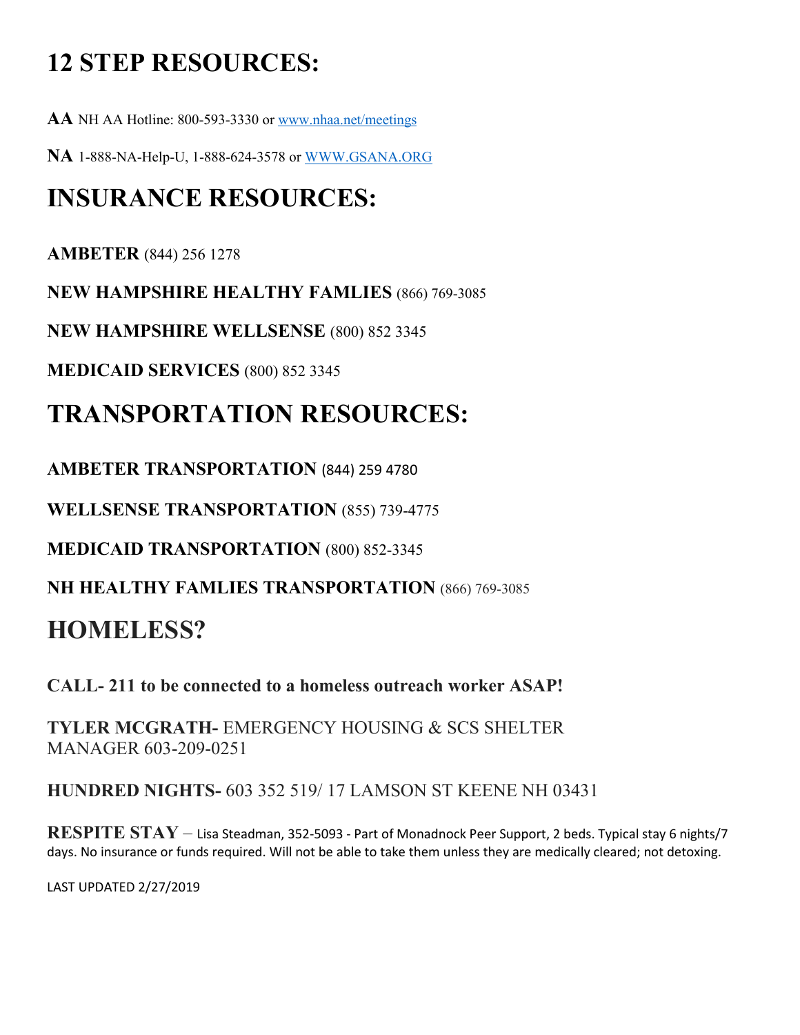# **12 STEP RESOURCES:**

**AA** NH AA Hotline: 800-593-3330 or [www.nhaa.net/meetings](http://www.nhaa.net/meetings)

**NA** 1-888-NA-Help-U, 1-888-624-3578 or [WWW.GSANA.ORG](http://www.gsana.org/)

## **INSURANCE RESOURCES:**

**AMBETER** (844) 256 1278

**NEW HAMPSHIRE HEALTHY FAMLIES** (866) 769-3085

**NEW HAMPSHIRE WELLSENSE** (800) 852 3345

**MEDICAID SERVICES** (800) 852 3345

## **TRANSPORTATION RESOURCES:**

**AMBETER TRANSPORTATION** (844) 259 4780

**WELLSENSE TRANSPORTATION** (855) 739-4775

**MEDICAID TRANSPORTATION** (800) 852-3345

**NH HEALTHY FAMLIES TRANSPORTATION** (866) 769-3085

## **HOMELESS?**

**CALL- 211 to be connected to a homeless outreach worker ASAP!**

**TYLER MCGRATH-** EMERGENCY HOUSING & SCS SHELTER MANAGER 603-209-0251

**HUNDRED NIGHTS-** 603 352 519/ 17 LAMSON ST KEENE NH 03431

**RESPITE STAY** – Lisa Steadman, 352-5093 - Part of Monadnock Peer Support, 2 beds. Typical stay 6 nights/7 days. No insurance or funds required. Will not be able to take them unless they are medically cleared; not detoxing.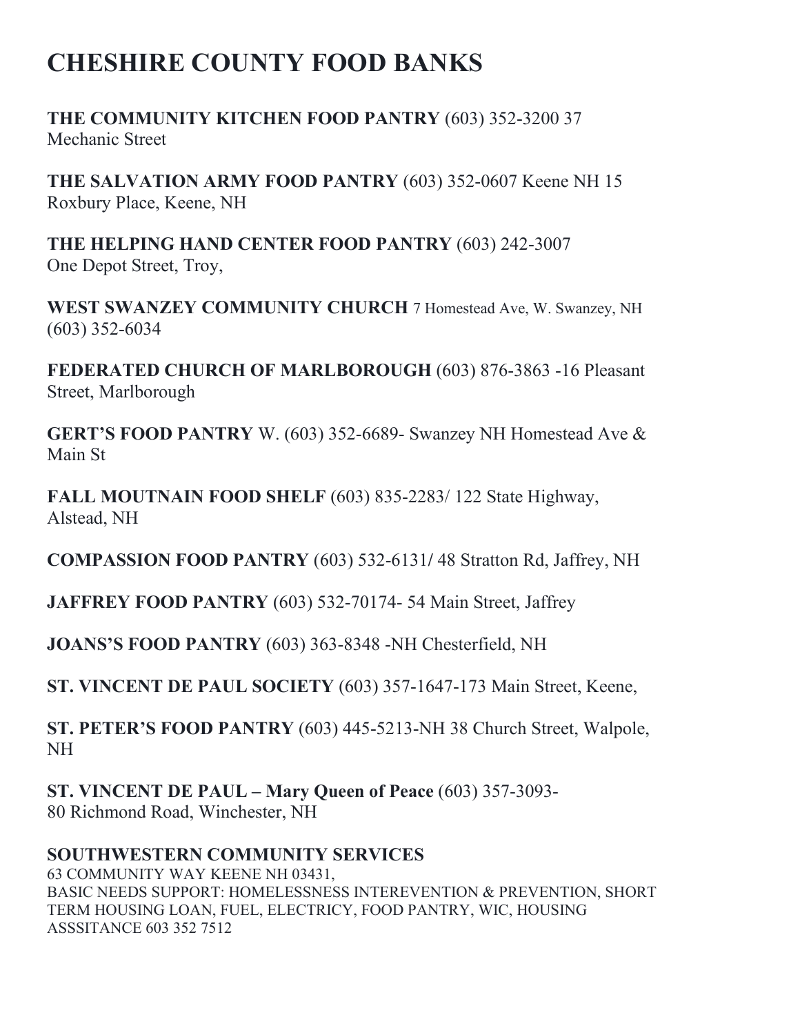## **CHESHIRE COUNTY FOOD BANKS**

**THE COMMUNITY KITCHEN FOOD PANTRY** (603) 352-3200 37 Mechanic Street

**THE SALVATION ARMY FOOD PANTRY** (603) 352-0607 Keene NH 15 Roxbury Place, Keene, NH

**THE HELPING HAND CENTER FOOD PANTRY** (603) 242-3007 One Depot Street, Troy,

**WEST SWANZEY COMMUNITY CHURCH** 7 Homestead Ave, W. Swanzey, NH (603) 352-6034

**FEDERATED CHURCH OF MARLBOROUGH** (603) 876-3863 -16 Pleasant Street, Marlborough

**GERT'S FOOD PANTRY** W. (603) 352-6689- Swanzey NH Homestead Ave & Main St

**FALL MOUTNAIN FOOD SHELF** (603) 835-2283/ 122 State Highway, Alstead, NH

**COMPASSION FOOD PANTRY** (603) 532-6131**/** 48 Stratton Rd, Jaffrey, NH

**JAFFREY FOOD PANTRY** (603) 532-70174- 54 Main Street, Jaffrey

**JOANS'S FOOD PANTRY** (603) 363-8348 -NH Chesterfield, NH

**ST. VINCENT DE PAUL SOCIETY** (603) 357-1647-173 Main Street, Keene,

**ST. PETER'S FOOD PANTRY** (603) 445-5213-NH 38 Church Street, Walpole, NH

**ST. VINCENT DE PAUL – Mary Queen of Peace** (603) 357-3093- 80 Richmond Road, Winchester, NH

### **SOUTHWESTERN COMMUNITY SERVICES**

63 COMMUNITY WAY KEENE NH 03431, BASIC NEEDS SUPPORT: HOMELESSNESS INTEREVENTION & PREVENTION, SHORT TERM HOUSING LOAN, FUEL, ELECTRICY, FOOD PANTRY, WIC, HOUSING ASSSITANCE 603 352 7512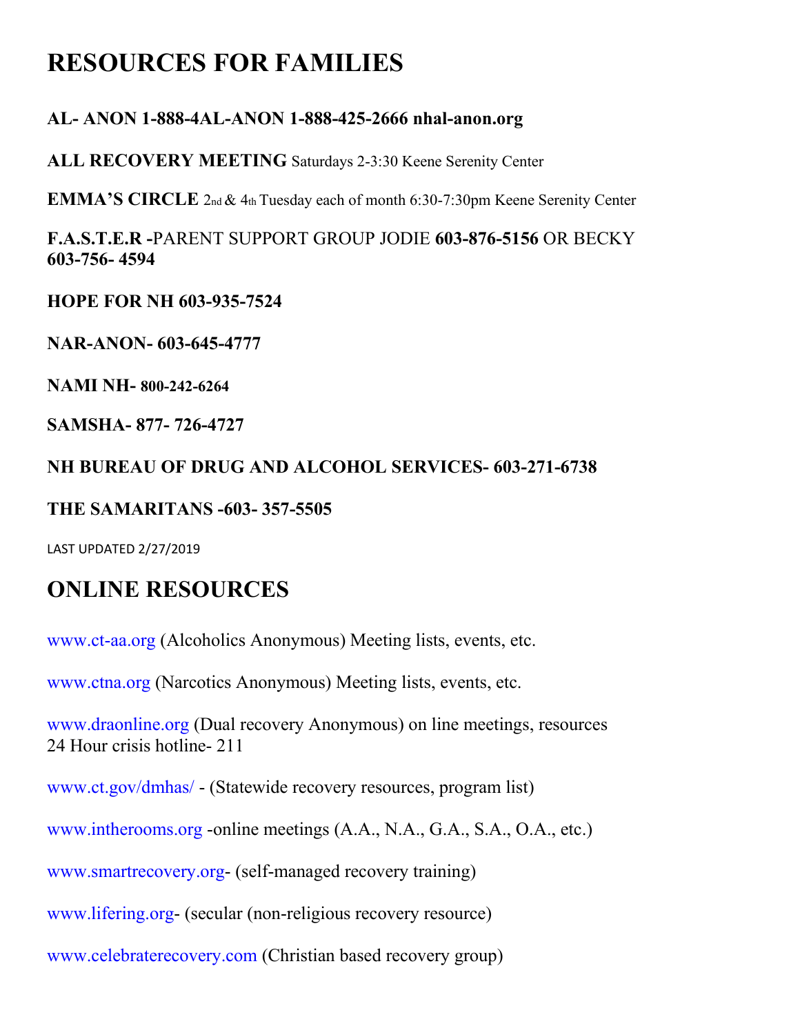## **RESOURCES FOR FAMILIES**

### **AL- ANON 1-888-4AL-ANON 1-888-425-2666 nhal-anon.org**

**ALL RECOVERY MEETING** Saturdays 2-3:30 Keene Serenity Center

**EMMA'S CIRCLE** 2nd & 4th Tuesday each of month 6:30-7:30pm Keene Serenity Center

**F.A.S.T.E.R -**PARENT SUPPORT GROUP JODIE **603-876-5156** OR BECKY **603-756- 4594**

**HOPE FOR NH 603-935-7524**

**NAR-ANON- 603-645-4777**

**NAMI NH- 800-242-6264**

**SAMSHA- 877- 726-4727**

### **NH BUREAU OF DRUG AND ALCOHOL SERVICES- 603-271-6738**

### **THE SAMARITANS -603- 357-5505**

LAST UPDATED 2/27/2019

## **ONLINE RESOURCES**

www.ct-aa.org (Alcoholics Anonymous) Meeting lists, events, etc.

www.ctna.org (Narcotics Anonymous) Meeting lists, events, etc.

www.draonline.org (Dual recovery Anonymous) on line meetings, resources 24 Hour crisis hotline- 211

www.ct.gov/dmhas/ - (Statewide recovery resources, program list)

www.intherooms.org -online meetings (A.A., N.A., G.A., S.A., O.A., etc.)

www.smartrecovery.org- (self-managed recovery training)

www.lifering.org- (secular (non-religious recovery resource)

www.celebraterecovery.com (Christian based recovery group)